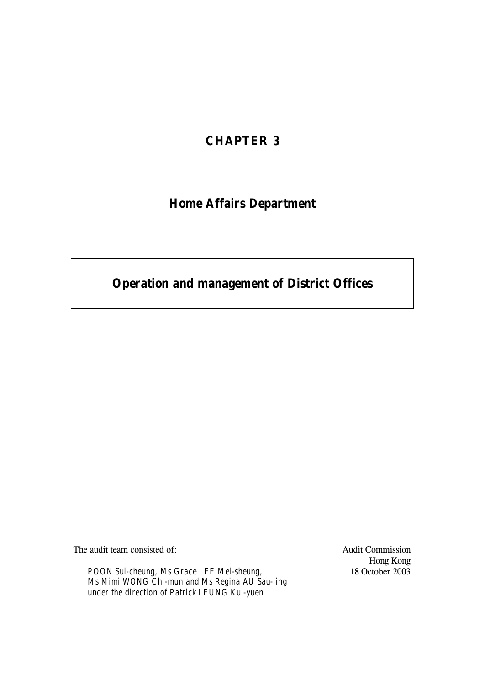# **CHAPTER 3**

# **Home Affairs Department**

# **Operation and management of District Offices**

The audit team consisted of:

*POON Sui-cheung, Ms Grace LEE Mei-sheung, Ms Mimi WONG Chi-mun and Ms Regina AU Sau-ling under the direction of Patrick LEUNG Kui-yuen*

Audit Commission Hong Kong 18 October 2003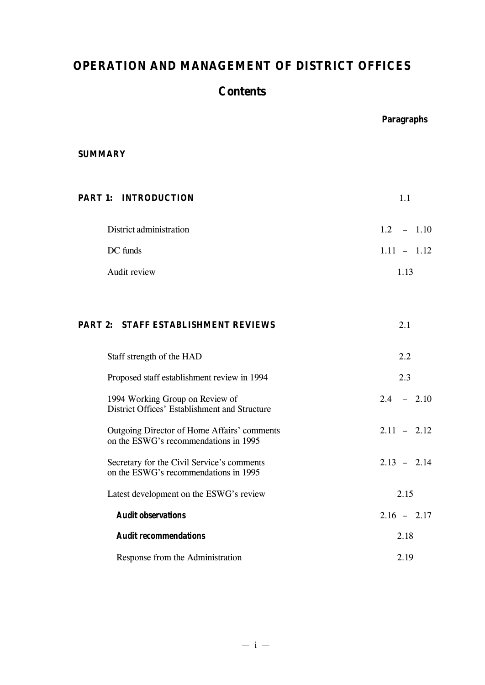# **OPERATION AND MANAGEMENT OF DISTRICT OFFICES**

# **Contents**

|                                                                                      | <b>Paragraphs</b> |
|--------------------------------------------------------------------------------------|-------------------|
| <b>SUMMARY</b>                                                                       |                   |
| <b>PART 1: INTRODUCTION</b>                                                          | 1.1               |
| District administration                                                              | $1.2 - 1.10$      |
| DC funds                                                                             | $1.11 - 1.12$     |
| Audit review                                                                         | 1.13              |
|                                                                                      |                   |
| <b>PART 2: STAFF ESTABLISHMENT REVIEWS</b>                                           | 2.1               |
| Staff strength of the HAD                                                            | 2.2               |
| Proposed staff establishment review in 1994                                          | 2.3               |
| 1994 Working Group on Review of<br>District Offices' Establishment and Structure     | $2.4 - 2.10$      |
| Outgoing Director of Home Affairs' comments<br>on the ESWG's recommendations in 1995 | $2.11 - 2.12$     |
| Secretary for the Civil Service's comments<br>on the ESWG's recommendations in 1995  | $2.13 - 2.14$     |
| Latest development on the ESWG's review                                              | 2.15              |
| <b>Audit observations</b>                                                            | $2.16 - 2.17$     |
| <b>Audit recommendations</b>                                                         | 2.18              |
| Response from the Administration                                                     | 2.19              |

 $- i -$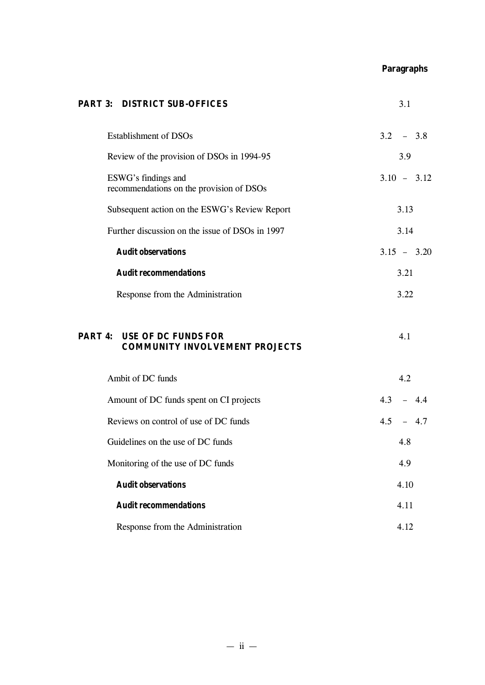**Paragraphs**

| <b>PART 3: DISTRICT SUB-OFFICES</b>                                         | 3.1           |
|-----------------------------------------------------------------------------|---------------|
| <b>Establishment of DSOs</b>                                                | $3.2 - 3.8$   |
| Review of the provision of DSOs in 1994-95                                  | 3.9           |
| ESWG's findings and<br>recommendations on the provision of DSOs             | $3.10 - 3.12$ |
| Subsequent action on the ESWG's Review Report                               | 3.13          |
| Further discussion on the issue of DSOs in 1997                             | 3.14          |
| <b>Audit observations</b>                                                   | $3.15 - 3.20$ |
| <b>Audit recommendations</b>                                                | 3.21          |
| Response from the Administration                                            | 3.22          |
| <b>PART 4: USE OF DC FUNDS FOR</b><br><b>COMMUNITY INVOLVEMENT PROJECTS</b> | 4.1           |
| Ambit of DC funds                                                           | 4.2           |
| Amount of DC funds spent on CI projects                                     | $4.3 - 4.4$   |
| Reviews on control of use of DC funds                                       | $4.5 - 4.7$   |
| Guidelines on the use of DC funds                                           | 4.8           |
| Monitoring of the use of DC funds                                           | 4.9           |
| <b>Audit observations</b>                                                   | 4.10          |
| <b>Audit recommendations</b>                                                | 4.11          |
| Response from the Administration                                            | 4.12          |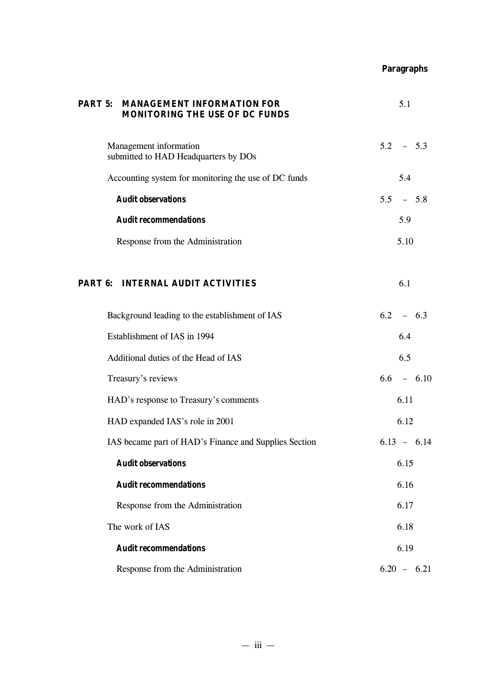# **Paragraphs**

| <b>PART 5: MANAGEMENT INFORMATION FOR</b><br><b>MONITORING THE USE OF DC FUNDS</b> | 5.1           |
|------------------------------------------------------------------------------------|---------------|
| Management information<br>submitted to HAD Headquarters by DOs                     | $5.2 - 5.3$   |
| Accounting system for monitoring the use of DC funds                               | 5.4           |
| <b>Audit observations</b>                                                          | $5.5 - 5.8$   |
| <b>Audit recommendations</b>                                                       | 5.9           |
| Response from the Administration                                                   | 5.10          |
| <b>PART 6: INTERNAL AUDIT ACTIVITIES</b>                                           | 6.1           |
| Background leading to the establishment of IAS                                     | $6.2 - 6.3$   |
| Establishment of IAS in 1994                                                       | 6.4           |
| Additional duties of the Head of IAS                                               | 6.5           |
| Treasury's reviews                                                                 | $6.6 - 6.10$  |
| HAD's response to Treasury's comments                                              | 6.11          |
| HAD expanded IAS's role in 2001                                                    | 6.12          |
| IAS became part of HAD's Finance and Supplies Section                              | $6.13 - 6.14$ |
| <b>Audit observations</b>                                                          | 6.15          |
| <b>Audit recommendations</b>                                                       | 6.16          |
| Response from the Administration                                                   | 6.17          |
| The work of IAS                                                                    | 6.18          |
| <b>Audit recommendations</b>                                                       | 6.19          |
| Response from the Administration                                                   | $6.20 - 6.21$ |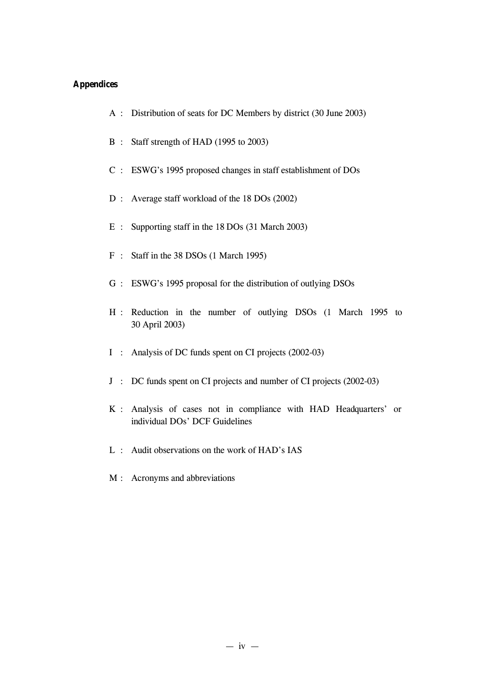# **Appendices**

- A : Distribution of seats for DC Members by district (30 June 2003)
- B : Staff strength of HAD (1995 to 2003)
- C : ESWG's 1995 proposed changes in staff establishment of DOs
- D : Average staff workload of the 18 DOs (2002)
- E : Supporting staff in the 18 DOs (31 March 2003)
- F : Staff in the 38 DSOs (1 March 1995)
- G : ESWG's 1995 proposal for the distribution of outlying DSOs
- H : Reduction in the number of outlying DSOs (1 March 1995 to 30 April 2003)
- I : Analysis of DC funds spent on CI projects (2002-03)
- J : DC funds spent on CI projects and number of CI projects (2002-03)
- K : Analysis of cases not in compliance with HAD Headquarters' or individual DOs' DCF Guidelines
- L : Audit observations on the work of HAD's IAS
- M : Acronyms and abbreviations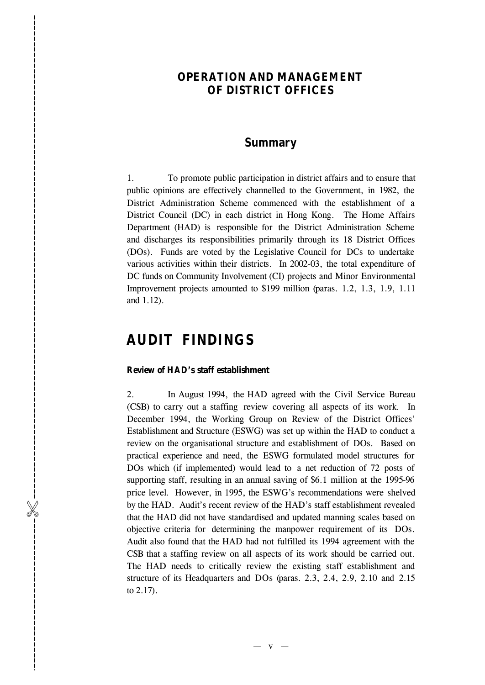# **OPERATION AND MANAGEMENT OF DISTRICT OFFICES**

# **Summary**

1. To promote public participation in district affairs and to ensure that public opinions are effectively channelled to the Government, in 1982, the District Administration Scheme commenced with the establishment of a District Council (DC) in each district in Hong Kong. The Home Affairs Department (HAD) is responsible for the District Administration Scheme and discharges its responsibilities primarily through its 18 District Offices (DOs). Funds are voted by the Legislative Council for DCs to undertake various activities within their districts. In 2002-03, the total expenditure of DC funds on Community Involvement (CI) projects and Minor Environmental Improvement projects amounted to \$199 million (paras. 1.2, 1.3, 1.9, 1.11 and 1.12).

# **AUDIT FINDINGS**

#### **Review of HAD's staff establishment**

2. In August 1994, the HAD agreed with the Civil Service Bureau (CSB) to carry out a staffing review covering all aspects of its work. In December 1994, the Working Group on Review of the District Offices' Establishment and Structure (ESWG) was set up within the HAD to conduct a review on the organisational structure and establishment of DOs. Based on practical experience and need, the ESWG formulated model structure s for DOs which (if implemented) would lead to a net reduction of 72 posts of supporting staff, resulting in an annual saving of \$6.1 million at the 1995-96 price level. However, in 1995, the ESWG's recommendations were shelved by the HAD. Audit's recent review of the HAD's staff establishment revealed that the HAD did not have standardised and updated manning scales based on objective criteria for determining the manpower requirement of its DOs . Audit also found that the HAD had not fulfilled its 1994 agreement with the CSB that a staffing review on all aspects of its work should be carried out . The HAD needs to critically review the existing staff establishment and structure of its Headquarters and DOs (paras. 2.3, 2.4, 2.9, 2.10 and 2.15 to 2.17) . -----------------------------%------------------------------------------------------------------------------------------

 $-$  v  $-$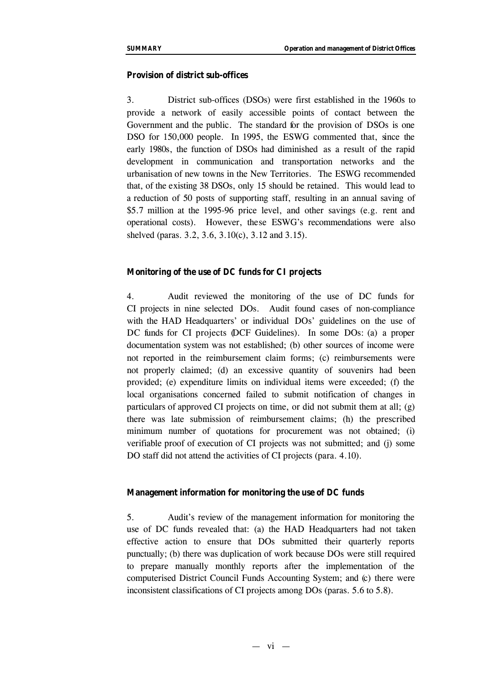#### **Provision of district sub-offices**

3. District sub-offices (DSOs) were first established in the 1960s to provide a network of easily accessible points of contact between the Government and the public. The standard for the provision of DSOs is one DSO for 150,000 people. In 1995, the ESWG commented that, since the early 1980s, the function of DSOs had diminished as a result of the rapid development in communication and transportation networks and the urbanisation of new towns in the New Territories. The ESWG recommended that, of the existing 38 DSOs, only 15 should be retained. This would lead to a reduction of 50 posts of supporting staff, resulting in an annual saving of \$5.7 million at the 1995-96 price level, and other savings (e.g. rent and operational costs). However, these ESWG's recommendations were also shelved (paras. 3.2, 3.6, 3.10(c), 3.12 and 3.15).

# **Monitoring of the use of DC funds for CI projects**

4. Audit reviewed the monitoring of the use of DC funds for CI projects in nine selected DOs. Audit found cases of non-compliance with the HAD Headquarters' or individual DOs' guidelines on the use of DC funds for CI projects (DCF Guidelines). In some DOs: (a) a proper documentation system was not established; (b) other sources of income were not reported in the reimbursement claim forms; (c) reimbursements were not properly claimed; (d) an excessive quantity of souvenirs had been provided; (e) expenditure limits on individual items were exceeded; (f) the local organisations concerned failed to submit notification of changes in particulars of approved CI projects on time, or did not submit them at all; (g) there was late submission of reimbursement claims; (h) the prescribed minimum number of quotations for procurement was not obtained; (i) verifiable proof of execution of CI projects was not submitted; and (j) some DO staff did not attend the activities of CI projects (para. 4.10).

## **Management information for monitoring the use of DC funds**

5. Audit's review of the management information for monitoring the use of DC funds revealed that: (a) the HAD Headquarters had not taken effective action to ensure that DOs submitted their quarterly reports punctually; (b) there was duplication of work because DOs were still required to prepare manually monthly reports after the implementation of the computerised District Council Funds Accounting System; and (c) there were inconsistent classifications of CI projects among DOs (paras. 5.6 to 5.8).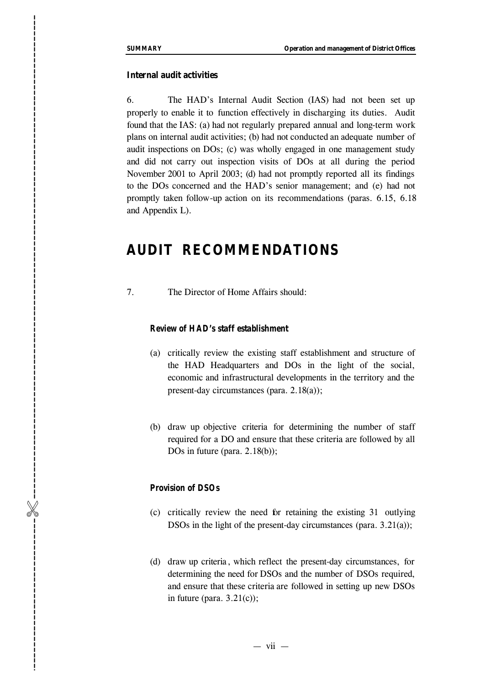## **Internal audit activities**

6. The HAD's Internal Audit Section (IAS) had not been set up properly to enable it to function effectively in discharging its duties. Audit found that the IAS: ( a) had not regularly prepared annual and long -term work plans on internal audit activities ; ( b) had not conducted an adequate number of audit inspections on DOs; ( c) was wholly engaged in one management study and did not carry out inspection visits of DOs at all during the period November 2001 to April 2003; (d) had not promptly reported all its findings to the DOs concerned and the HAD's senior management; and (e) had not promptly taken follow -up action on its recommendations (paras. 6.15, 6.18 and Appendix L). **SIDAMARY**<br> **Internal andit activities**<br>
6. The HAD's Internal A<br>
properly to enable it to function ef<br>
future (18.4 (a) and on regard<br>
and internet and D activities; (b)<br>
and internet and che HAO stressed and the HA<br>
pro

# **AUDIT RECOMMENDATIONS**

7. The Director of Home Affairs should:

#### *Review of HAD's staff establishment*

- (a) critically review the existing staff establishment and structure of the HAD Headquarters and DOs in the light of the social, economic and infrastructural developments in the territory and the present-day circumstances (para. 2.1 8(a));
- (b) draw up objective criteria for determining the number of staff required for a DO and ensure that these criteria are followed by all DOs in future (para. 2.1 8(b));

#### *Provision of DSO s*

- (c) critically review the need fo r retaining the existing 31 outlying DSOs in the light of the present -day circumstances (para. 3.21(a));
- (d) draw up criteria , which reflect the present-day circumstances, for determining the need for DSOs and the number of DSOs required , and ensure that these criteria are followed in setting up new DSOs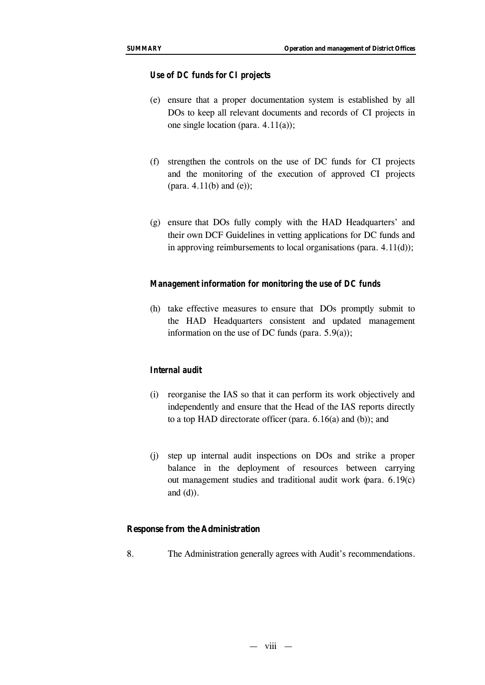#### *Use of DC funds for CI projects*

- (e) ensure that a proper documentation system is established by all DOs to keep all relevant documents and records of CI projects in one single location (para. 4.11(a));
- (f) strengthen the controls on the use of DC funds for CI projects and the monitoring of the execution of approved CI projects (para.  $4.11(b)$  and  $(e)$ );
- (g) ensure that DOs fully comply with the HAD Headquarters' and their own DCF Guidelines in vetting applications for DC funds and in approving reimbursements to local organisations (para. 4.11(d));

#### *Management information for monitoring the use of DC funds*

(h) take effective measures to ensure that DOs promptly submit to the HAD Headquarters consistent and updated management information on the use of DC funds (para. 5.9(a));

# *Internal audit*

- (i) reorganise the IAS so that it can perform its work objectively and independently and ensure that the Head of the IAS reports directly to a top HAD directorate officer (para. 6.16(a) and (b)); and
- (j) step up internal audit inspections on DOs and strike a proper balance in the deployment of resources between carrying out management studies and traditional audit work (para. 6.19(c) and  $(d)$ ).

#### **Response from the Administration**

8. The Administration generally agrees with Audit's recommendations.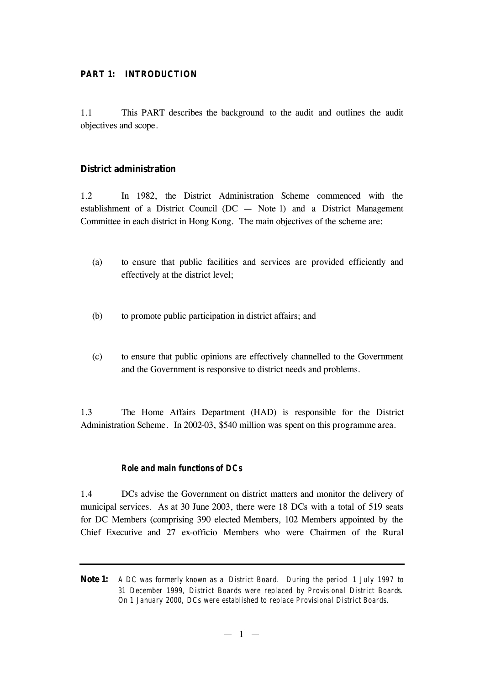## **PART 1: INTRODUCTION**

1.1 This PART describes the background to the audit and outlines the audit objectives and scope.

# **District administration**

1.2 In 1982, the District Administration Scheme commenced with the establishment of a District Council (DC — Note 1) and a District Management Committee in each district in Hong Kong. The main objectives of the scheme are:

- (a) to ensure that public facilities and services are provided efficiently and effectively at the district level;
- (b) to promote public participation in district affairs; and
- (c) to ensure that public opinions are effectively channelled to the Government and the Government is responsive to district needs and problems.

1.3 The Home Affairs Department (HAD) is responsible for the District Administration Scheme. In 2002-03, \$540 million was spent on this programme area.

#### *Role and main functions of DCs*

1.4 DCs advise the Government on district matters and monitor the delivery of municipal services. As at 30 June 2003, there were 18 DCs with a total of 519 seats for DC Members (comprising 390 elected Members, 102 Members appointed by the Chief Executive and 27 ex-officio Members who were Chairmen of the Rural

**Note 1:** *A DC was formerly known as a District Board. During the period 1 July 1997 to 31 December 1999, District Boards were replaced by Provisional District Boards. On 1 January 2000, DCs were established to replace Provisional District Boards.*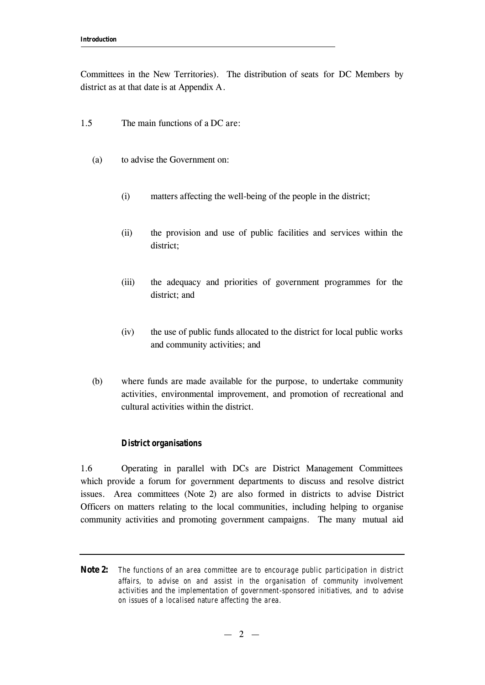Committees in the New Territories). The distribution of seats for DC Members by district as at that date is at Appendix A.

- 1.5 The main functions of a DC are:
	- (a) to advise the Government on:
		- (i) matters affecting the well-being of the people in the district;
		- (ii) the provision and use of public facilities and services within the district;
		- (iii) the adequacy and priorities of government programmes for the district; and
		- (iv) the use of public funds allocated to the district for local public works and community activities; and
	- (b) where funds are made available for the purpose, to undertake community activities, environmental improvement, and promotion of recreational and cultural activities within the district.

## *District organisations*

1.6 Operating in parallel with DCs are District Management Committees which provide a forum for government departments to discuss and resolve district issues. Area committees (Note 2) are also formed in districts to advise District Officers on matters relating to the local communities, including helping to organise community activities and promoting government campaigns. The many mutual aid

**Note 2:** *The functions of an area committee are to encourage public participation in district affairs, to advise on and assist in the organisation of community involvement activities and the implementation of government-sponsored initiatives, and to advise on issues of a localised nature affecting the area.*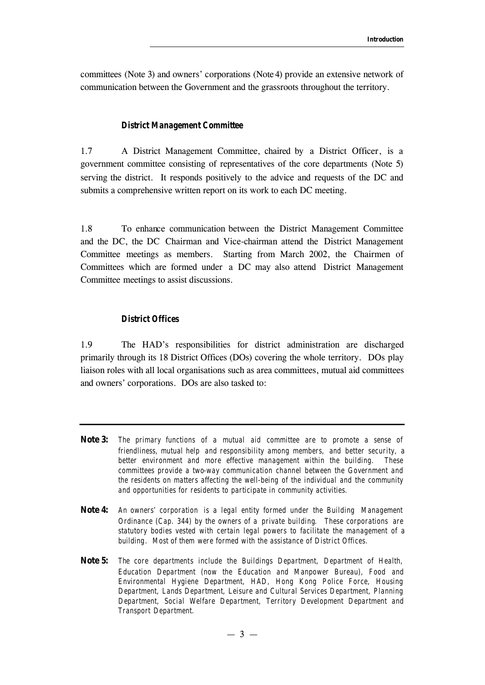committees (Note 3) and owners' corporations (Note 4) provide an extensive network of communication between the Government and the grassroots throughout the territory.

#### *District Management Committee*

1.7 A District Management Committee, chaired by a District Officer, is a government committee consisting of representatives of the core departments (Note 5) serving the district. It responds positively to the advice and requests of the DC and submits a comprehensive written report on its work to each DC meeting.

1.8 To enhance communication between the District Management Committee and the DC, the DC Chairman and Vice-chairman attend the District Management Committee meetings as members. Starting from March 2002, the Chairmen of Committees which are formed under a DC may also attend District Management Committee meetings to assist discussions.

#### *District Offices*

1.9 The HAD's responsibilities for district administration are discharged primarily through its 18 District Offices (DOs) covering the whole territory. DOs play liaison roles with all local organisations such as area committees, mutual aid committees and owners' corporations. DOs are also tasked to:

- **Note 3:** *The primary functions of a mutual aid committee are to promote a sense of friendliness, mutual help and responsibility among members, and better security, a better environment and more effective management within the building. These committees provide a two-way communication channel between the Government and the residents on matters affecting the well-being of the individual and the community and opportunities for residents to participate in community activities.*
- **Note 4:** *An owners' corporation is a legal entity formed under the Building Management Ordinance (Cap. 344) by the owners of a private building. These corporations are statutory bodies vested with certain legal powers to facilitate the management of a building. Most of them were formed with the assistance of District Offices.*
- **Note 5:** *The core departments include the Buildings Department, Department of Health, Education Department (now the Education and Manpower Bureau), Food and Environmental Hygiene Department, HAD, Hong Kong Police Force, Housing Department, Lands Department, Leisure and Cultural Services Department, Planning Department, Social Welfare Department, Territory Development Department and Transport Department.*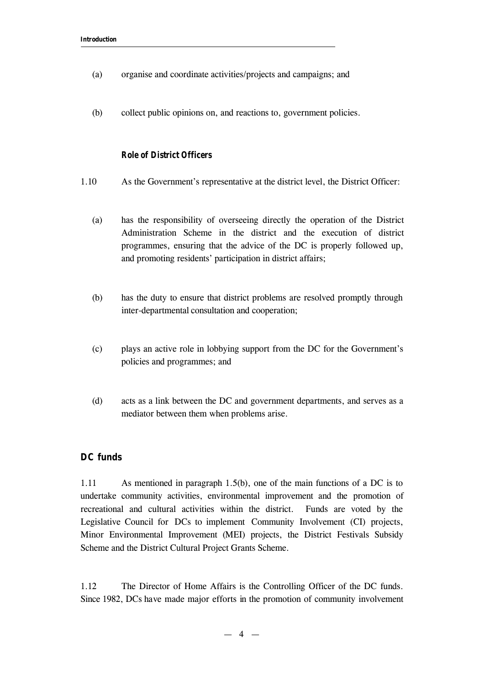- (a) organise and coordinate activities/projects and campaigns; and
- (b) collect public opinions on, and reactions to, government policies.

# *Role of District Officers*

- 1.10 As the Government's representative at the district level, the District Officer:
	- (a) has the responsibility of overseeing directly the operation of the District Administration Scheme in the district and the execution of district programmes, ensuring that the advice of the DC is properly followed up, and promoting residents' participation in district affairs;
	- (b) has the duty to ensure that district problems are resolved promptly through inter-departmental consultation and cooperation;
	- (c) plays an active role in lobbying support from the DC for the Government's policies and programmes; and
	- (d) acts as a link between the DC and government departments, and serves as a mediator between them when problems arise.

# **DC funds**

1.11 As mentioned in paragraph 1.5(b), one of the main functions of a DC is to undertake community activities, environmental improvement and the promotion of recreational and cultural activities within the district. Funds are voted by the Legislative Council for DCs to implement Community Involvement (CI) projects, Minor Environmental Improvement (MEI) projects, the District Festivals Subsidy Scheme and the District Cultural Project Grants Scheme.

1.12 The Director of Home Affairs is the Controlling Officer of the DC funds. Since 1982, DCs have made major efforts in the promotion of community involvement

 $-4 -$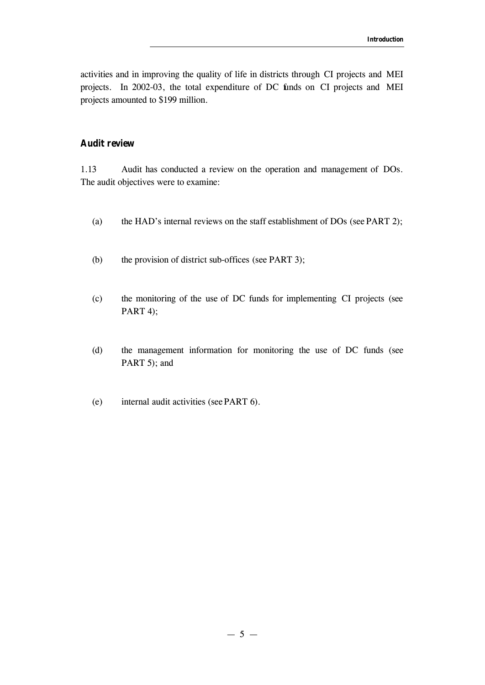activities and in improving the quality of life in districts through CI projects and MEI projects. In 2002-03, the total expenditure of DC funds on CI projects and MEI projects amounted to \$199 million.

# **Audit review**

1.13 Audit has conducted a review on the operation and management of DOs. The audit objectives were to examine:

- (a) the HAD's internal reviews on the staff establishment of DOs (see PART 2);
- (b) the provision of district sub-offices (see PART 3);
- (c) the monitoring of the use of DC funds for implementing CI projects (see PART 4);
- (d) the management information for monitoring the use of DC funds (see PART 5); and
- (e) internal audit activities (see PART 6).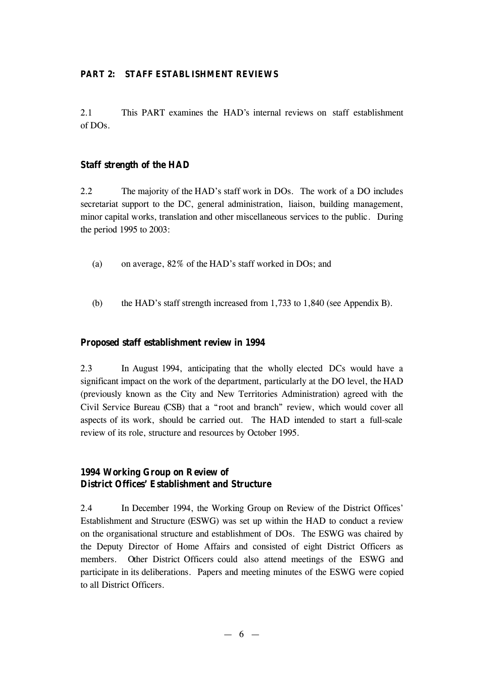# **PART 2: STAFF ESTABLISHMENT REVIEWS**

2.1 This PART examines the HAD's internal reviews on staff establishment of DOs.

# **Staff strength of the HAD**

2.2 The majority of the HAD's staff work in DOs. The work of a DO includes secretariat support to the DC, general administration, liaison, building management, minor capital works, translation and other miscellaneous services to the public. During the period 1995 to 2003:

- (a) on average, 82% of the HAD's staff worked in DOs; and
- (b) the HAD's staff strength increased from 1,733 to 1,840 (see Appendix B).

# **Proposed staff establishment review in 1994**

2.3 In August 1994, anticipating that the wholly elected DCs would have a significant impact on the work of the department, particularly at the DO level, the HAD (previously known as the City and New Territories Administration) agreed with the Civil Service Bureau (CSB) that a "root and branch" review, which would cover all aspects of its work, should be carried out. The HAD intended to start a full-scale review of its role, structure and resources by October 1995.

# **1994 Working Group on Review of District Offices' Establishment and Structure**

2.4 In December 1994, the Working Group on Review of the District Offices' Establishment and Structure (ESWG) was set up within the HAD to conduct a review on the organisational structure and establishment of DOs. The ESWG was chaired by the Deputy Director of Home Affairs and consisted of eight District Officers as members. Other District Officers could also attend meetings of the ESWG and participate in its deliberations. Papers and meeting minutes of the ESWG were copied to all District Officers.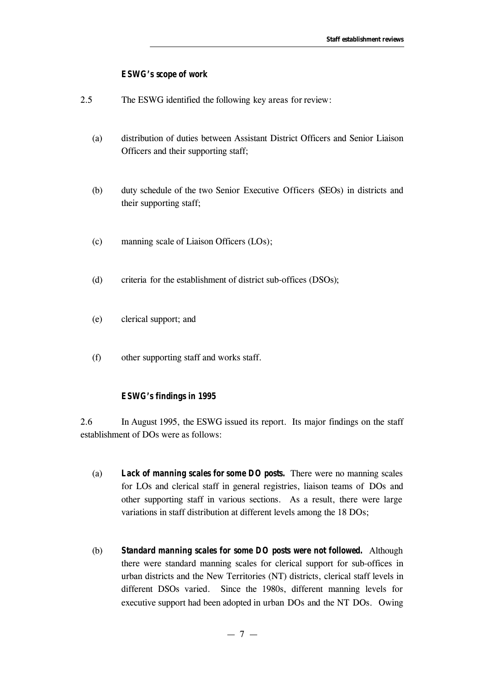#### *ESWG's scope of work*

- 2.5 The ESWG identified the following key areas for review:
	- (a) distribution of duties between Assistant District Officers and Senior Liaison Officers and their supporting staff;
	- (b) duty schedule of the two Senior Executive Officers (SEOs) in districts and their supporting staff;
	- (c) manning scale of Liaison Officers (LOs);
	- (d) criteria for the establishment of district sub-offices (DSOs);
	- (e) clerical support; and
	- (f) other supporting staff and works staff.

#### *ESWG's findings in 1995*

2.6 In August 1995, the ESWG issued its report. Its major findings on the staff establishment of DOs were as follows:

- (a) *Lack of manning scales for some DO posts.* There were no manning scales for LOs and clerical staff in general registries, liaison teams of DOs and other supporting staff in various sections. As a result, there were large variations in staff distribution at different levels among the 18 DOs;
- (b) *Standard manning scales for some DO posts were not followed.* Although there were standard manning scales for clerical support for sub-offices in urban districts and the New Territories (NT) districts, clerical staff levels in different DSOs varied. Since the 1980s, different manning levels for executive support had been adopted in urban DOs and the NT DOs. Owing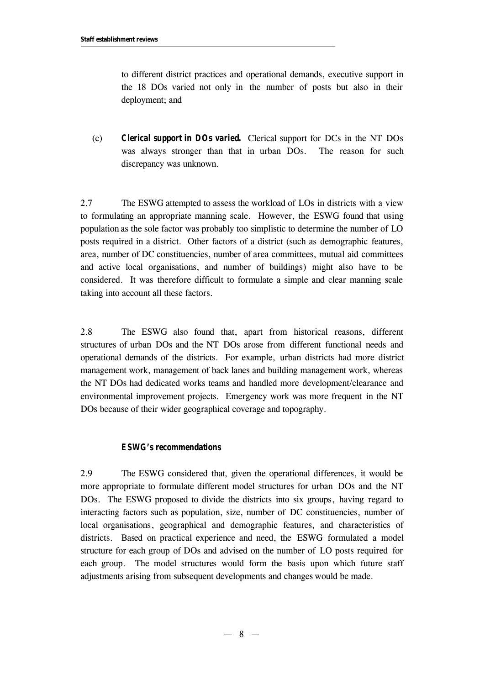to different district practices and operational demands, executive support in the 18 DOs varied not only in the number of posts but also in their deployment; and

(c) *Clerical support in DOs varied***.** Clerical support for DCs in the NT DOs was always stronger than that in urban DOs. The reason for such discrepancy was unknown.

2.7 The ESWG attempted to assess the workload of LOs in districts with a view to formulating an appropriate manning scale. However, the ESWG found that using population as the sole factor was probably too simplistic to determine the number of LO posts required in a district. Other factors of a district (such as demographic features, area, number of DC constituencies, number of area committees, mutual aid committees and active local organisations, and number of buildings) might also have to be considered. It was therefore difficult to formulate a simple and clear manning scale taking into account all these factors.

2.8 The ESWG also found that, apart from historical reasons, different structures of urban DOs and the NT DOs arose from different functional needs and operational demands of the districts. For example, urban districts had more district management work, management of back lanes and building management work, whereas the NT DOs had dedicated works teams and handled more development/clearance and environmental improvement projects. Emergency work was more frequent in the NT DOs because of their wider geographical coverage and topography.

## *ESWG's recommendations*

2.9 The ESWG considered that, given the operational differences, it would be more appropriate to formulate different model structures for urban DOs and the NT DOs. The ESWG proposed to divide the districts into six groups, having regard to interacting factors such as population, size, number of DC constituencies, number of local organisations, geographical and demographic features, and characteristics of districts. Based on practical experience and need, the ESWG formulated a model structure for each group of DOs and advised on the number of LO posts required for each group. The model structures would form the basis upon which future staff adjustments arising from subsequent developments and changes would be made.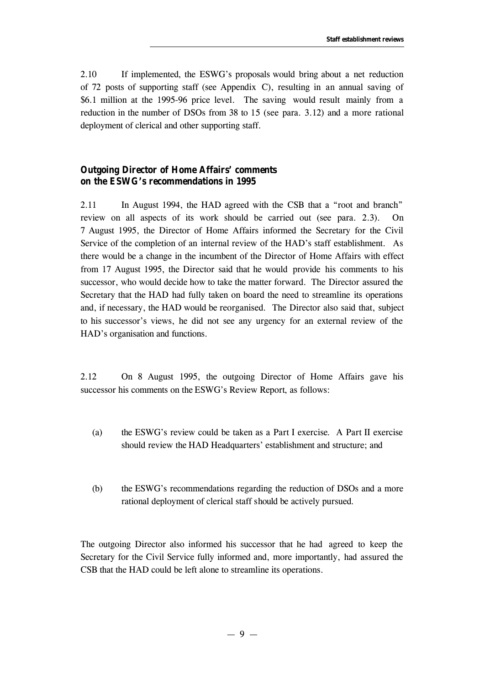2.10 If implemented, the ESWG's proposals would bring about a net reduction of 72 posts of supporting staff (see Appendix C), resulting in an annual saving of \$6.1 million at the 1995-96 price level. The saving would result mainly from a reduction in the number of DSOs from 38 to 15 (see para. 3.12) and a more rational deployment of clerical and other supporting staff.

# **Outgoing Director of Home Affairs' comments on the ESWG's recommendations in 1995**

2.11 In August 1994, the HAD agreed with the CSB that a "root and branch" review on all aspects of its work should be carried out (see para. 2.3). On 7 August 1995, the Director of Home Affairs informed the Secretary for the Civil Service of the completion of an internal review of the HAD's staff establishment. As there would be a change in the incumbent of the Director of Home Affairs with effect from 17 August 1995, the Director said that he would provide his comments to his successor, who would decide how to take the matter forward. The Director assured the Secretary that the HAD had fully taken on board the need to streamline its operations and, if necessary, the HAD would be reorganised. The Director also said that, subject to his successor's views, he did not see any urgency for an external review of the HAD's organisation and functions.

2.12 On 8 August 1995, the outgoing Director of Home Affairs gave his successor his comments on the ESWG's Review Report, as follows:

- (a) the ESWG's review could be taken as a Part I exercise. A Part II exercise should review the HAD Headquarters' establishment and structure; and
- (b) the ESWG's recommendations regarding the reduction of DSOs and a more rational deployment of clerical staff should be actively pursued.

The outgoing Director also informed his successor that he had agreed to keep the Secretary for the Civil Service fully informed and, more importantly, had assured the CSB that the HAD could be left alone to streamline its operations.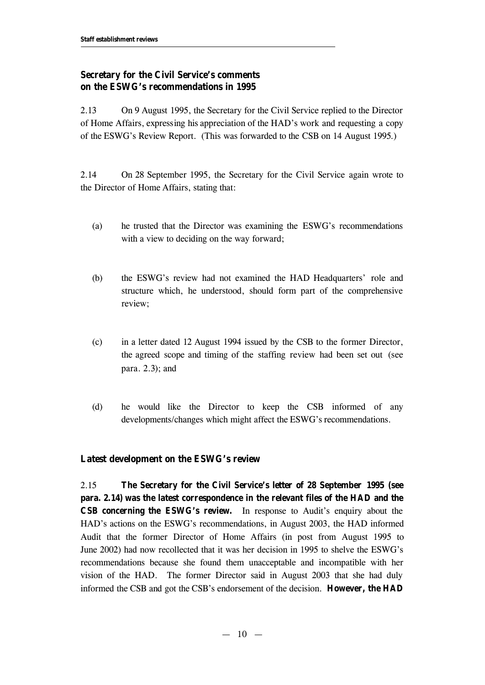# **Secretary for the Civil Service's comments on the ESWG's recommendations in 1995**

2.13 On 9 August 1995, the Secretary for the Civil Service replied to the Director of Home Affairs, expressing his appreciation of the HAD's work and requesting a copy of the ESWG's Review Report. (This was forwarded to the CSB on 14 August 1995.)

2.14 On 28 September 1995, the Secretary for the Civil Service again wrote to the Director of Home Affairs, stating that:

- (a) he trusted that the Director was examining the ESWG's recommendations with a view to deciding on the way forward;
- (b) the ESWG's review had not examined the HAD Headquarters' role and structure which, he understood, should form part of the comprehensive review;
- (c) in a letter dated 12 August 1994 issued by the CSB to the former Director, the agreed scope and timing of the staffing review had been set out (see para. 2.3); and
- (d) he would like the Director to keep the CSB informed of any developments/changes which might affect the ESWG's recommendations.

# **Latest development on the ESWG's review**

2.15 **The Secretary for the Civil Service's letter of 28 September 1995 (see para. 2.14) was the latest correspondence in the relevant files of the HAD and the CSB concerning the ESWG's review.** In response to Audit's enquiry about the HAD's actions on the ESWG's recommendations, in August 2003, the HAD informed Audit that the former Director of Home Affairs (in post from August 1995 to June 2002) had now recollected that it was her decision in 1995 to shelve the ESWG's recommendations because she found them unacceptable and incompatible with her vision of the HAD. The former Director said in August 2003 that she had duly informed the CSB and got the CSB's endorsement of the decision. **However, the HAD**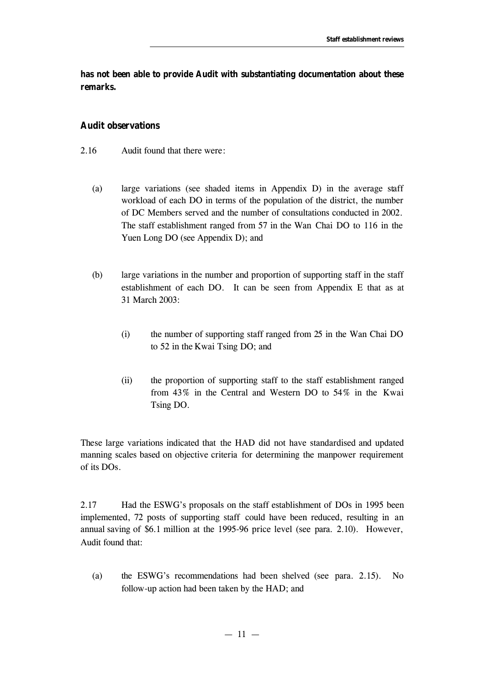**has not been able to provide Audit with substantiating documentation about these remarks.**

#### **Audit observations**

- 2.16 Audit found that there were:
	- (a) large variations (see shaded items in Appendix D) in the average staff workload of each DO in terms of the population of the district, the number of DC Members served and the number of consultations conducted in 2002. The staff establishment ranged from 57 in the Wan Chai DO to 116 in the Yuen Long DO (see Appendix D); and
	- (b) large variations in the number and proportion of supporting staff in the staff establishment of each DO. It can be seen from Appendix E that as at 31 March 2003:
		- (i) the number of supporting staff ranged from 25 in the Wan Chai DO to 52 in the Kwai Tsing DO; and
		- (ii) the proportion of supporting staff to the staff establishment ranged from 43% in the Central and Western DO to 54% in the Kwai Tsing DO.

These large variations indicated that the HAD did not have standardised and updated manning scales based on objective criteria for determining the manpower requirement of its DOs.

2.17 Had the ESWG's proposals on the staff establishment of DOs in 1995 been implemented, 72 posts of supporting staff could have been reduced, resulting in an annual saving of \$6.1 million at the 1995-96 price level (see para. 2.10). However, Audit found that:

(a) the ESWG's recommendations had been shelved (see para. 2.15). No follow-up action had been taken by the HAD; and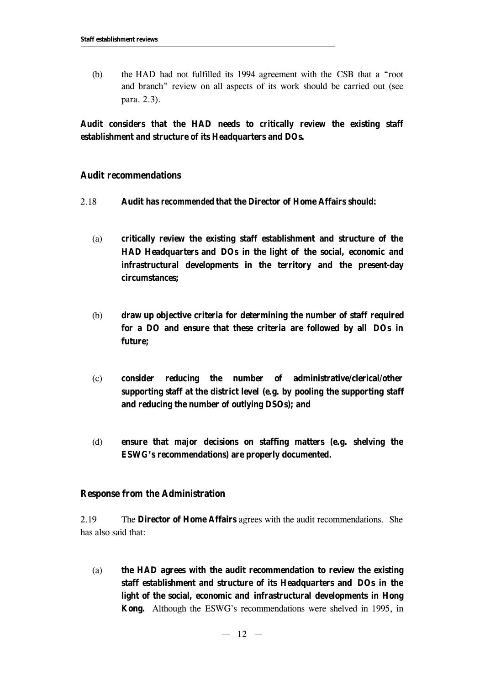(b) the HAD had not fulfilled its 1994 agreement with the CSB that a "root and branch" review on all aspects of its work should be carried out (see para. 2.3).

**Audit considers that the HAD needs to critically review the existing staff establishment and structure of its Headquarters and DOs.**

# **Audit recommendations**

- 2.18 **Audit has** *recommended* **that the Director of Home Affairs should:**
	- (a) **critically review the existing staff establishment and structure of the HAD Headquarters and DOs in the light of the social, economic and infrastructural developments in the territory and the present-day circumstances;**
	- (b) **draw up objective criteria for determining the number of staff required for a DO and ensure that these criteria are followed by all DOs in future;**
	- (c) **consider reducing the number of administrative/clerical/other supporting staff at the district level (e.g. by pooling the supporting staff and reducing the number of outlying DSOs); and**
	- (d) **ensure that major decisions on staffing matters (e.g. shelving the ESWG's recommendations) are properly documented.**

# **Response from the Administration**

2.19 The **Director of Home Affairs** agrees with the audit recommendations. She has also said that:

(a) **the HAD agrees with the audit recommendation to review the existing staff establishment and structure of its Headquarters and DOs in the light of the social, economic and infrastructural developments in Hong Kong.** Although the ESWG's recommendations were shelved in 1995, in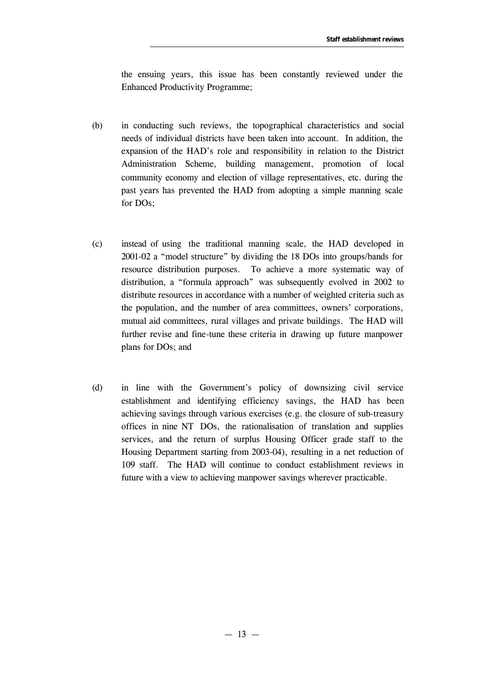the ensuing years, this issue has been constantly reviewed under the Enhanced Productivity Programme;

- (b) in conducting such reviews, the topographical characteristics and social needs of individual districts have been taken into account. In addition, the expansion of the HAD's role and responsibility in relation to the District Administration Scheme, building management, promotion of local community economy and election of village representatives, etc. during the past years has prevented the HAD from adopting a simple manning scale for DOs;
- (c) instead of using the traditional manning scale, the HAD developed in 2001-02 a "model structure" by dividing the 18 DOs into groups/bands for resource distribution purposes. To achieve a more systematic way of distribution, a "formula approach" was subsequently evolved in 2002 to distribute resources in accordance with a number of weighted criteria such as the population, and the number of area committees, owners' corporations, mutual aid committees, rural villages and private buildings. The HAD will further revise and fine-tune these criteria in drawing up future manpower plans for DOs; and
- (d) in line with the Government's policy of downsizing civil service establishment and identifying efficiency savings, the HAD has been achieving savings through various exercises (e.g. the closure of sub-treasury offices in nine NT DOs, the rationalisation of translation and supplies services, and the return of surplus Housing Officer grade staff to the Housing Department starting from 2003-04), resulting in a net reduction of 109 staff. The HAD will continue to conduct establishment reviews in future with a view to achieving manpower savings wherever practicable.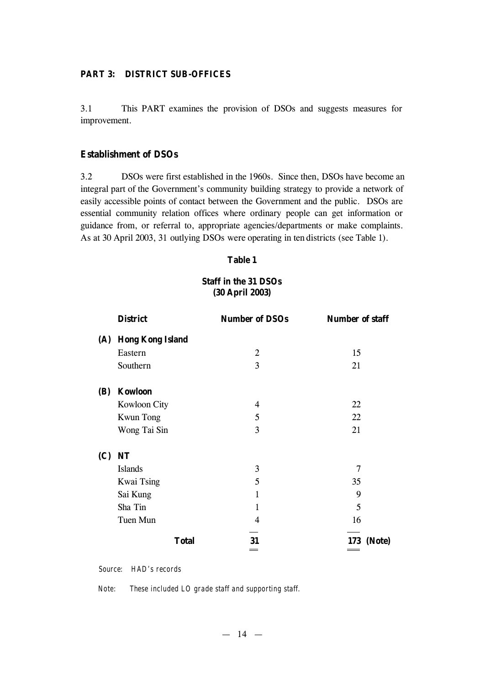# **PART 3: DISTRICT SUB-OFFICES**

3.1 This PART examines the provision of DSOs and suggests measures for improvement.

## **Establishment of DSOs**

3.2 DSOs were first established in the 1960s. Since then, DSOs have become an integral part of the Government's community building strategy to provide a network of easily accessible points of contact between the Government and the public. DSOs are essential community relation offices where ordinary people can get information or guidance from, or referral to, appropriate agencies/departments or make complaints. As at 30 April 2003, 31 outlying DSOs were operating in ten districts (see Table 1).

#### **Table 1**

# **Staff in the 31 DSOs (30 April 2003)**

|            | <b>District</b>         | <b>Number of DSOs</b> | <b>Number of staff</b> |
|------------|-------------------------|-----------------------|------------------------|
| (A)        | <b>Hong Kong Island</b> |                       |                        |
|            | Eastern                 | $\overline{2}$        | 15                     |
|            | Southern                | 3                     | 21                     |
| <b>(B)</b> | <b>Kowloon</b>          |                       |                        |
|            | <b>Kowloon City</b>     | 4                     | 22                     |
|            | <b>Kwun Tong</b>        | 5                     | 22                     |
|            | Wong Tai Sin            | 3                     | 21                     |
| (C)        | <b>NT</b>               |                       |                        |
|            | <b>Islands</b>          | 3                     | 7                      |
|            | <b>Kwai Tsing</b>       | 5                     | 35                     |
|            | Sai Kung                | 1                     | 9                      |
|            | Sha Tin                 | 1                     | 5                      |
|            | Tuen Mun                | 4                     | 16                     |
|            | <b>Total</b>            | 31<br>=               | <b>173</b> (Note)      |

*Source: HAD's records*

*Note: These included LO grade staff and supporting staff.*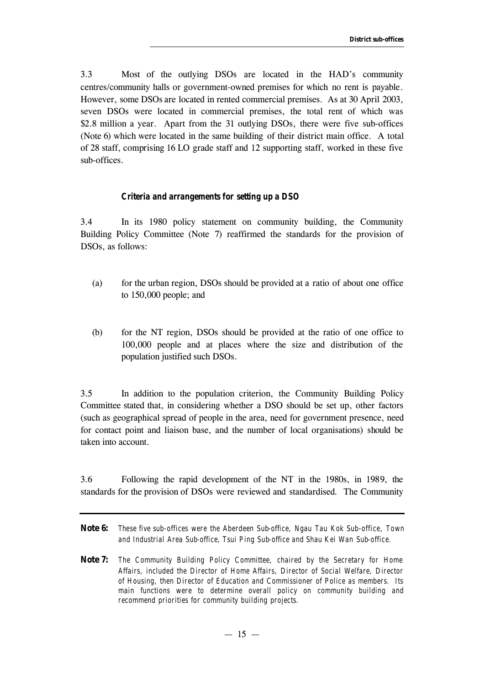3.3 Most of the outlying DSOs are located in the HAD's community centres/community halls or government-owned premises for which no rent is payable. However, some DSOs are located in rented commercial premises. As at 30 April 2003, seven DSOs were located in commercial premises, the total rent of which was \$2.8 million a year. Apart from the 31 outlying DSOs, there were five sub-offices (Note 6) which were located in the same building of their district main office. A total of 28 staff, comprising 16 LO grade staff and 12 supporting staff, worked in these five sub-offices.

#### *Criteria and arrangements for setting up a DSO*

3.4 In its 1980 policy statement on community building, the Community Building Policy Committee (Note 7) reaffirmed the standards for the provision of DSOs, as follows:

- (a) for the urban region, DSOs should be provided at a ratio of about one office to 150,000 people; and
- (b) for the NT region, DSOs should be provided at the ratio of one office to 100,000 people and at places where the size and distribution of the population justified such DSOs.

3.5 In addition to the population criterion, the Community Building Policy Committee stated that, in considering whether a DSO should be set up, other factors (such as geographical spread of people in the area, need for government presence, need for contact point and liaison base, and the number of local organisations) should be taken into account.

3.6 Following the rapid development of the NT in the 1980s, in 1989, the standards for the provision of DSOs were reviewed and standardised. The Community

- **Note 6:** *These five sub-offices were the Aberdeen Sub-office, Ngau Tau Kok Sub-office, Town and Industrial Area Sub-office, Tsui Ping Sub-office and Shau Kei Wan Sub-office.*
- **Note 7:** *The Community Building Policy Committee, chaired by the Secretary for Home Affairs, included the Director of Home Affairs, Director of Social Welfare, Director of Housing, then Director of Education and Commissioner of Police as members. Its main functions were to determine overall policy on community building and recommend priorities for community building projects.*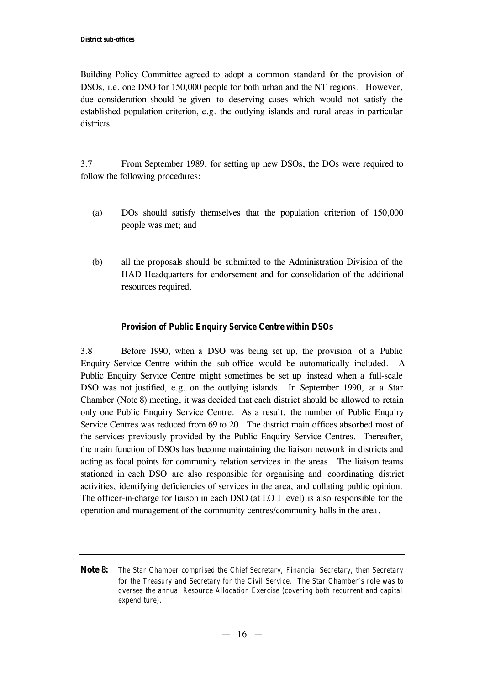Building Policy Committee agreed to adopt a common standard for the provision of DSOs, i.e. one DSO for 150,000 people for both urban and the NT regions. However, due consideration should be given to deserving cases which would not satisfy the established population criterion, e.g. the outlying islands and rural areas in particular districts.

3.7 From September 1989, for setting up new DSOs, the DOs were required to follow the following procedures:

- (a) DOs should satisfy themselves that the population criterion of 150,000 people was met; and
- (b) all the proposals should be submitted to the Administration Division of the HAD Headquarters for endorsement and for consolidation of the additional resources required.

## *Provision of Public Enquiry Service Centre within DSOs*

3.8 Before 1990, when a DSO was being set up, the provision of a Public Enquiry Service Centre within the sub-office would be automatically included. A Public Enquiry Service Centre might sometimes be set up instead when a full-scale DSO was not justified, e.g. on the outlying islands. In September 1990, at a Star Chamber (Note 8) meeting, it was decided that each district should be allowed to retain only one Public Enquiry Service Centre. As a result, the number of Public Enquiry Service Centres was reduced from 69 to 20. The district main offices absorbed most of the services previously provided by the Public Enquiry Service Centres. Thereafter, the main function of DSOs has become maintaining the liaison network in districts and acting as focal points for community relation services in the areas. The liaison teams stationed in each DSO are also responsible for organising and coordinating district activities, identifying deficiencies of services in the area, and collating public opinion. The officer-in-charge for liaison in each DSO (at LO I level) is also responsible for the operation and management of the community centres/community halls in the area.

**Note 8:** *The Star Chamber comprised the Chief Secretary, Financial Secretary, then Secretary for the Treasury and Secretary for the Civil Service. The Star Chamber's role was to oversee the annual Resource Allocation Exercise (covering both recurrent and capital expenditure).*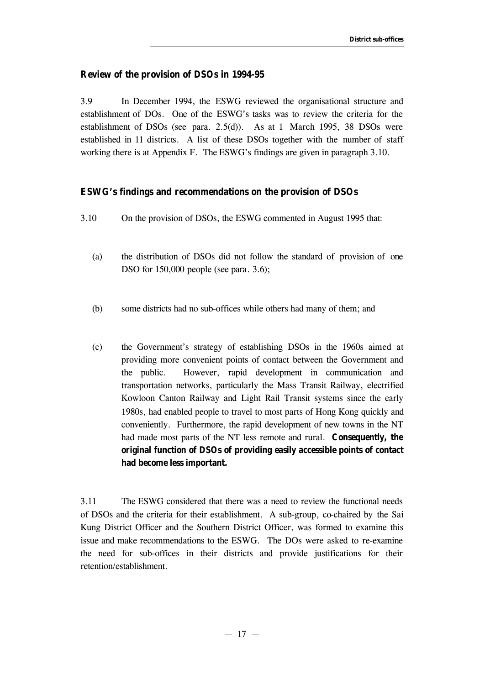# **Review of the provision of DSOs in 1994-95**

3.9 In December 1994, the ESWG reviewed the organisational structure and establishment of DOs. One of the ESWG's tasks was to review the criteria for the establishment of DSOs (see para. 2.5(d)). As at 1 March 1995, 38 DSOs were established in 11 districts. A list of these DSOs together with the number of staff working there is at Appendix F. The ESWG's findings are given in paragraph 3.10.

# **ESWG's findings and recommendations on the provision of DSOs**

- 3.10 On the provision of DSOs, the ESWG commented in August 1995 that:
	- (a) the distribution of DSOs did not follow the standard of provision of one DSO for 150,000 people (see para. 3.6);
	- (b) some districts had no sub-offices while others had many of them; and
	- (c) the Government's strategy of establishing DSOs in the 1960s aimed at providing more convenient points of contact between the Government and the public. However, rapid development in communication and transportation networks, particularly the Mass Transit Railway, electrified Kowloon Canton Railway and Light Rail Transit systems since the early 1980s, had enabled people to travel to most parts of Hong Kong quickly and conveniently. Furthermore, the rapid development of new towns in the NT had made most parts of the NT less remote and rural. **Consequently, the original function of DSOs of providing easily accessible points of contact had become less important.**

3.11 The ESWG considered that there was a need to review the functional needs of DSOs and the criteria for their establishment. A sub-group, co-chaired by the Sai Kung District Officer and the Southern District Officer, was formed to examine this issue and make recommendations to the ESWG. The DOs were asked to re-examine the need for sub-offices in their districts and provide justifications for their retention/establishment.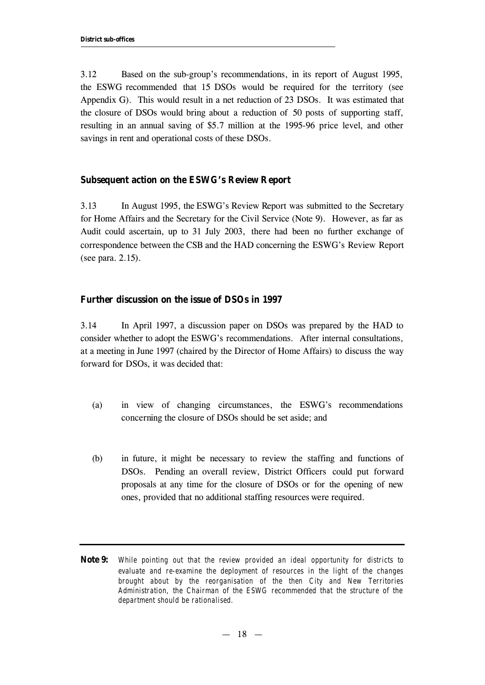3.12 Based on the sub-group's recommendations, in its report of August 1995, the ESWG recommended that 15 DSOs would be required for the territory (see Appendix G). This would result in a net reduction of 23 DSOs. It was estimated that the closure of DSOs would bring about a reduction of 50 posts of supporting staff, resulting in an annual saving of \$5.7 million at the 1995-96 price level, and other savings in rent and operational costs of these DSOs.

# **Subsequent action on the ESWG's Review Report**

3.13 In August 1995, the ESWG's Review Report was submitted to the Secretary for Home Affairs and the Secretary for the Civil Service (Note 9). However, as far as Audit could ascertain, up to 31 July 2003, there had been no further exchange of correspondence between the CSB and the HAD concerning the ESWG's Review Report (see para. 2.15).

# **Further discussion on the issue of DSOs in 1997**

3.14 In April 1997, a discussion paper on DSOs was prepared by the HAD to consider whether to adopt the ESWG's recommendations. After internal consultations, at a meeting in June 1997 (chaired by the Director of Home Affairs) to discuss the way forward for DSOs, it was decided that:

- (a) in view of changing circumstances, the ESWG's recommendations concerning the closure of DSOs should be set aside; and
- (b) in future, it might be necessary to review the staffing and functions of DSOs. Pending an overall review, District Officers could put forward proposals at any time for the closure of DSOs or for the opening of new ones, provided that no additional staffing resources were required.

**Note 9:** *While pointing out that the review provided an ideal opportunity for districts to evaluate and re-examine the deployment of resources in the light of the changes brought about by the reorganisation of the then City and New Territories Administration, the Chairman of the ESWG recommended that the structure of the department should be rationalised.*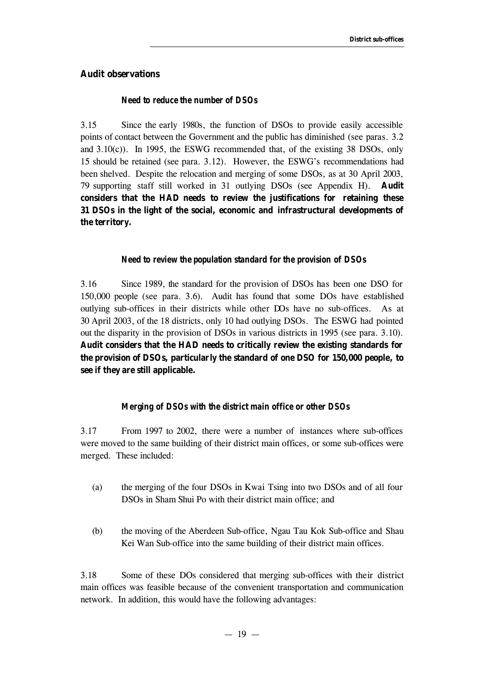# **Audit observations**

## *Need to reduce the number of DSOs*

3.15 Since the early 1980s, the function of DSOs to provide easily accessible points of contact between the Government and the public has diminished (see paras. 3.2 and 3.10(c)). In 1995, the ESWG recommended that, of the existing 38 DSOs, only 15 should be retained (see para. 3.12). However, the ESWG's recommendations had been shelved. Despite the relocation and merging of some DSOs, as at 30 April 2003, 79 supporting staff still worked in 31 outlying DSOs (see Appendix H). **Audit considers that the HAD needs to review the justifications for retaining these 31 DSOs in the light of the social, economic and infrastructural developments of the territory.**

#### *Need to review the population standard for the provision of DSOs*

3.16 Since 1989, the standard for the provision of DSOs has been one DSO for 150,000 people (see para. 3.6). Audit has found that some DOs have established outlying sub-offices in their districts while other DOs have no sub-offices. As at 30 April 2003, of the 18 districts, only 10 had outlying DSOs. The ESWG had pointed out the disparity in the provision of DSOs in various districts in 1995 (see para. 3.10). **Audit considers that the HAD needs to critically review the existing standards for the provision of DSOs, particularly the standard of one DSO for 150,000 people, to see if they are still applicable.**

#### *Merging of DSOs with the district main office or other DSOs*

3.17 From 1997 to 2002, there were a number of instances where sub-offices were moved to the same building of their district main offices, or some sub-offices were merged. These included:

- (a) the merging of the four DSOs in Kwai Tsing into two DSOs and of all four DSOs in Sham Shui Po with their district main office; and
- (b) the moving of the Aberdeen Sub-office, Ngau Tau Kok Sub-office and Shau Kei Wan Sub-office into the same building of their district main offices.

3.18 Some of these DOs considered that merging sub-offices with their district main offices was feasible because of the convenient transportation and communication network. In addition, this would have the following advantages: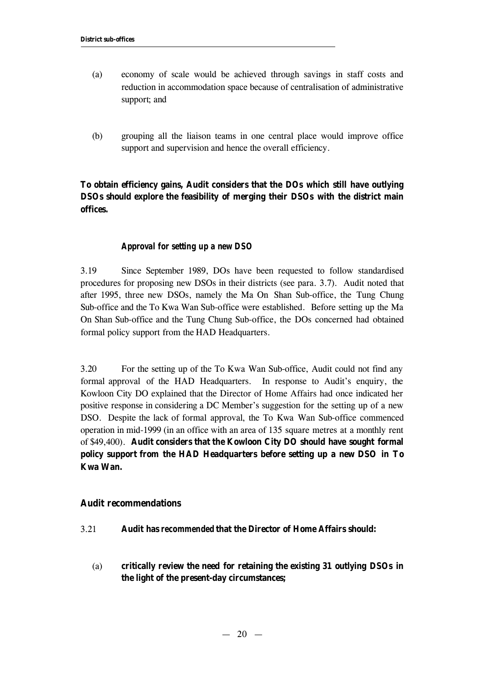- (a) economy of scale would be achieved through savings in staff costs and reduction in accommodation space because of centralisation of administrative support; and
- (b) grouping all the liaison teams in one central place would improve office support and supervision and hence the overall efficiency.

**To obtain efficiency gains, Audit considers that the DOs which still have outlying DSOs should explore the feasibility of merging their DSOs with the district main offices.**

# *Approval for setting up a new DSO*

3.19 Since September 1989, DOs have been requested to follow standardised procedures for proposing new DSOs in their districts (see para. 3.7). Audit noted that after 1995, three new DSOs, namely the Ma On Shan Sub-office, the Tung Chung Sub-office and the To Kwa Wan Sub-office were established. Before setting up the Ma On Shan Sub-office and the Tung Chung Sub-office, the DOs concerned had obtained formal policy support from the HAD Headquarters.

3.20 For the setting up of the To Kwa Wan Sub-office, Audit could not find any formal approval of the HAD Headquarters. In response to Audit's enquiry, the Kowloon City DO explained that the Director of Home Affairs had once indicated her positive response in considering a DC Member's suggestion for the setting up of a new DSO. Despite the lack of formal approval, the To Kwa Wan Sub-office commenced operation in mid-1999 (in an office with an area of 135 square metres at a monthly rent of \$49,400). **Audit considers that the Kowloon City DO should have sought formal policy support from the HAD Headquarters before setting up a new DSO in To Kwa Wan.**

## **Audit recommendations**

- 3.21 **Audit has** *recommended* **that the Director of Home Affairs should:**
	- (a) **critically review the need for retaining the existing 31 outlying DSOs in the light of the present-day circumstances;**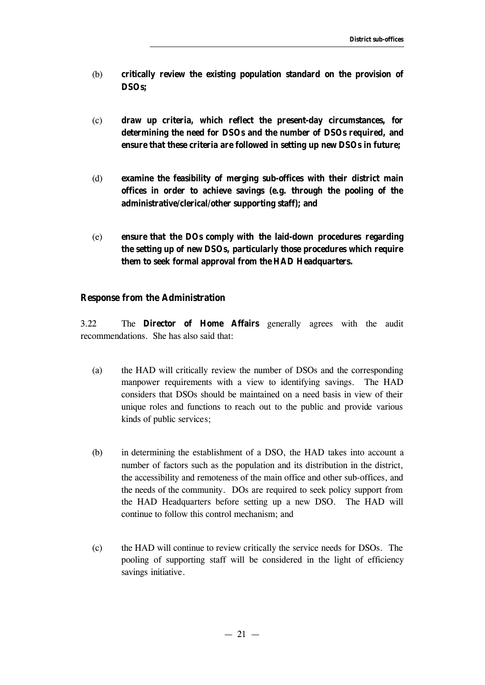- (b) **critically review the existing population standard on the provision of DSOs;**
- (c) **draw up criteria, which reflect the present-day circumstances, for determining the need for DSOs and the number of DSOs required, and ensure that these criteria are followed in setting up new DSOs in future;**
- (d) **examine the feasibility of merging sub-offices with their district main offices in order to achieve savings (e.g. through the pooling of the administrative/clerical/other supporting staff); and**
- (e) **ensure that the DOs comply with the laid-down procedures regarding the setting up of new DSOs, particularly those procedures which require them to seek formal approval from the HAD Headquarters.**

## **Response from the Administration**

3.22 The **Director of Home Affairs** generally agrees with the audit recommendations. She has also said that:

- (a) the HAD will critically review the number of DSOs and the corresponding manpower requirements with a view to identifying savings. The HAD considers that DSOs should be maintained on a need basis in view of their unique roles and functions to reach out to the public and provide various kinds of public services;
- (b) in determining the establishment of a DSO, the HAD takes into account a number of factors such as the population and its distribution in the district, the accessibility and remoteness of the main office and other sub-offices, and the needs of the community. DOs are required to seek policy support from the HAD Headquarters before setting up a new DSO. The HAD will continue to follow this control mechanism; and
- (c) the HAD will continue to review critically the service needs for DSOs. The pooling of supporting staff will be considered in the light of efficiency savings initiative.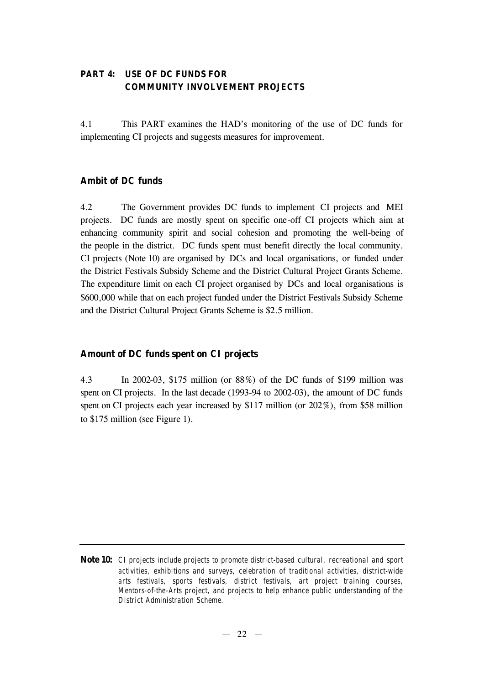# **PART 4: USE OF DC FUNDS FOR COMMUNITY INVOLVEMENT PROJECTS**

4.1 This PART examines the HAD's monitoring of the use of DC funds for implementing CI projects and suggests measures for improvement.

# **Ambit of DC funds**

4.2 The Government provides DC funds to implement CI projects and MEI projects. DC funds are mostly spent on specific one-off CI projects which aim at enhancing community spirit and social cohesion and promoting the well-being of the people in the district. DC funds spent must benefit directly the local community. CI projects (Note 10) are organised by DCs and local organisations, or funded under the District Festivals Subsidy Scheme and the District Cultural Project Grants Scheme. The expenditure limit on each CI project organised by DCs and local organisations is \$600,000 while that on each project funded under the District Festivals Subsidy Scheme and the District Cultural Project Grants Scheme is \$2.5 million.

# **Amount of DC funds spent on CI projects**

4.3 In 2002-03, \$175 million (or 88%) of the DC funds of \$199 million was spent on CI projects. In the last decade (1993-94 to 2002-03), the amount of DC funds spent on CI projects each year increased by \$117 million (or  $202\%$ ), from \$58 million to \$175 million (see Figure 1).

**Note 10:** *CI projects include projects to promote district-based cultural, recreational and sport activities, exhibitions and surveys, celebration of traditional activities, district-wide arts festivals, sports festivals, district festivals, art project training courses, Mentors-of-the-Arts project, and projects to help enhance public understanding of the District Administration Scheme.*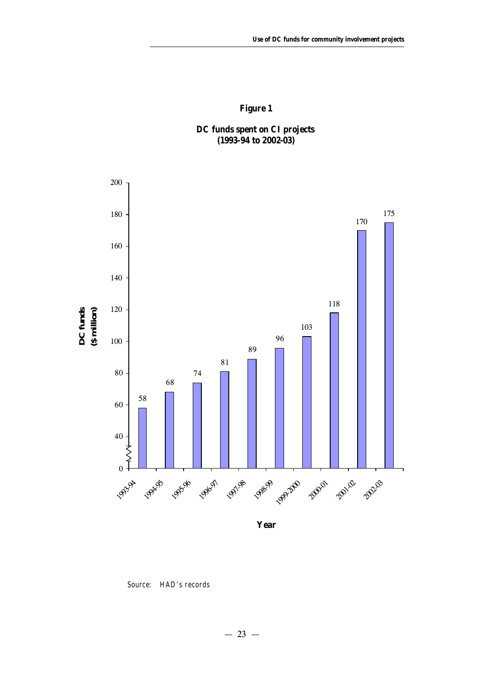# **Figure 1**

# **DC funds spent on CI projects (1993-94 to 2002-03)**

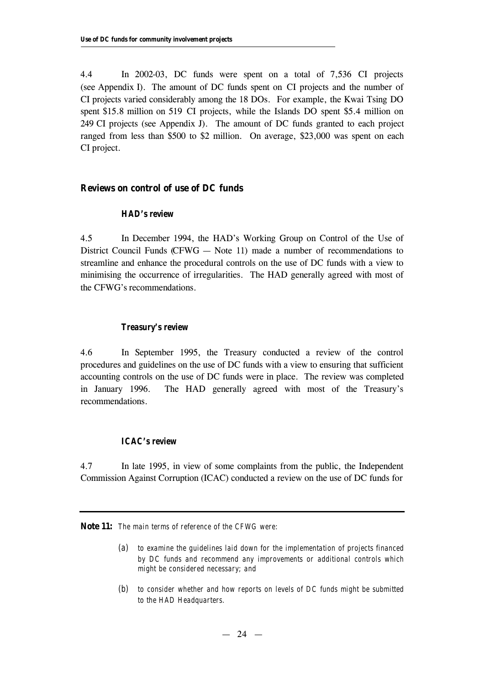4.4 In 2002-03, DC funds were spent on a total of 7,536 CI projects (see Appendix I). The amount of DC funds spent on CI projects and the number of CI projects varied considerably among the 18 DOs. For example, the Kwai Tsing DO spent \$15.8 million on 519 CI projects, while the Islands DO spent \$5.4 million on 249 CI projects (see Appendix J). The amount of DC funds granted to each project ranged from less than \$500 to \$2 million. On average, \$23,000 was spent on each CI project.

# **Reviews on control of use of DC funds**

#### *HAD's review*

4.5 In December 1994, the HAD's Working Group on Control of the Use of District Council Funds (CFWG  $-$  Note 11) made a number of recommendations to streamline and enhance the procedural controls on the use of DC funds with a view to minimising the occurrence of irregularities. The HAD generally agreed with most of the CFWG's recommendations.

### *Treasury's review*

4.6 In September 1995, the Treasury conducted a review of the control procedures and guidelines on the use of DC funds with a view to ensuring that sufficient accounting controls on the use of DC funds were in place. The review was completed in January 1996. The HAD generally agreed with most of the Treasury's recommendations.

## *ICAC's review*

4.7 In late 1995, in view of some complaints from the public, the Independent Commission Against Corruption (ICAC) conducted a review on the use of DC funds for

**Note 11:** *The main terms of reference of the CFWG were:*

- *(a) to examine the guidelines laid down for the implementation of projects financed by DC funds and recommend any improvements or additional controls which might be considered necessary; and*
- *(b) to consider whether and how reports on levels of DC funds might be submitted to the HAD Headquarters.*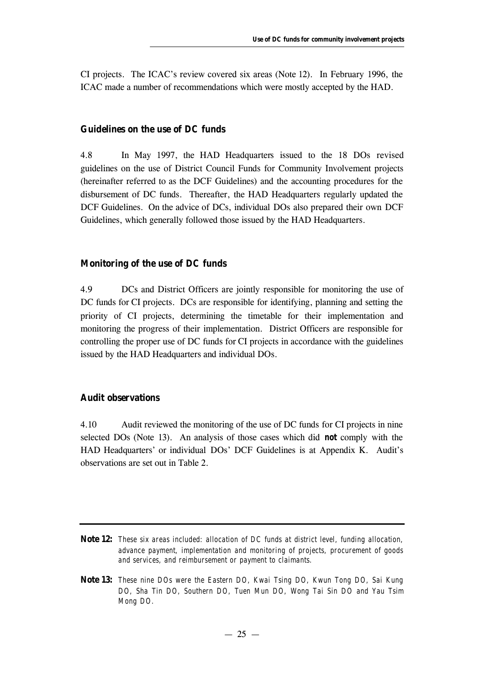CI projects. The ICAC's review covered six areas (Note 12). In February 1996, the ICAC made a number of recommendations which were mostly accepted by the HAD.

# **Guidelines on the use of DC funds**

4.8 In May 1997, the HAD Headquarters issued to the 18 DOs revised guidelines on the use of District Council Funds for Community Involvement projects (hereinafter referred to as the DCF Guidelines) and the accounting procedures for the disbursement of DC funds. Thereafter, the HAD Headquarters regularly updated the DCF Guidelines. On the advice of DCs, individual DOs also prepared their own DCF Guidelines, which generally followed those issued by the HAD Headquarters.

## **Monitoring of the use of DC funds**

4.9 DCs and District Officers are jointly responsible for monitoring the use of DC funds for CI projects. DCs are responsible for identifying, planning and setting the priority of CI projects, determining the timetable for their implementation and monitoring the progress of their implementation. District Officers are responsible for controlling the proper use of DC funds for CI projects in accordance with the guidelines issued by the HAD Headquarters and individual DOs.

# **Audit observations**

4.10 Audit reviewed the monitoring of the use of DC funds for CI projects in nine selected DOs (Note 13). An analysis of those cases which did *not* comply with the HAD Headquarters' or individual DOs' DCF Guidelines is at Appendix K. Audit's observations are set out in Table 2.

- **Note 12:** *These six areas included: allocation of DC funds at district level, funding allocation, advance payment, implementation and monitoring of projects, procurement of goods and services, and reimbursement or payment to claimants.*
- **Note 13:** *These nine DOs were the Eastern DO, Kwai Tsing DO, Kwun Tong DO, Sai Kung DO, Sha Tin DO, Southern DO, Tuen Mun DO, Wong Tai Sin DO and Yau Tsim Mong DO.*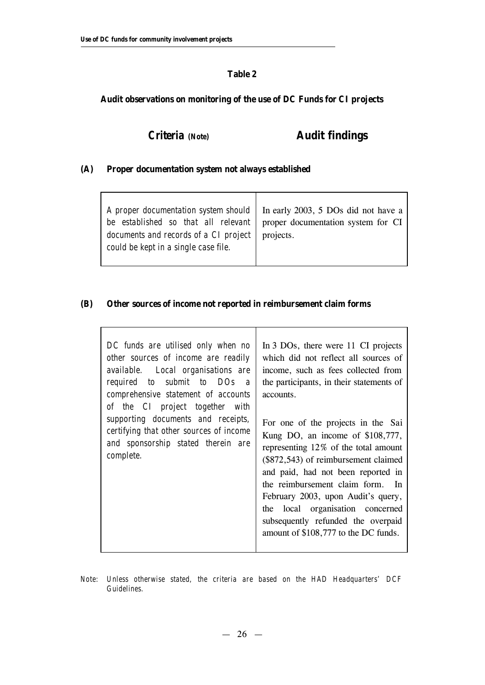$\Gamma$ 

# **Table 2**

# **Audit observations on monitoring of the use of DC Funds for CI projects**

# *Criteria (Note)* **Audit findings**

٦

# **(A) Proper documentation system not always established**

| A proper documentation system should   In early 2003, 5 DOs did not have a<br>be established so that all relevant   proper documentation system for CI  <br>documents and records of a CI project noiects.<br>could be kept in a single case file. |  |
|----------------------------------------------------------------------------------------------------------------------------------------------------------------------------------------------------------------------------------------------------|--|
|                                                                                                                                                                                                                                                    |  |

Τ

 $\mathsf T$ 

# **(B) Other sources of income not reported in reimbursement claim forms**

| DC funds are utilised only when no<br>other sources of income are readily<br>available. Local organisations are<br>required to submit to DOs<br>$\overline{a}$<br>comprehensive statement of accounts<br>of the CI project together with<br>supporting documents and receipts,<br>certifying that other sources of income<br>and sponsorship stated therein are<br>complete. | In 3 DOs, there were 11 CI projects<br>which did not reflect all sources of<br>income, such as fees collected from<br>the participants, in their statements of<br>accounts.<br>For one of the projects in the Sai<br>Kung DO, an income of $$108,777$ ,<br>representing 12% of the total amount<br>(\$872,543) of reimbursement claimed<br>and paid, had not been reported in<br>the reimbursement claim form. In<br>February 2003, upon Audit's query,<br>the local organisation concerned<br>subsequently refunded the overpaid<br>amount of \$108,777 to the DC funds. |
|------------------------------------------------------------------------------------------------------------------------------------------------------------------------------------------------------------------------------------------------------------------------------------------------------------------------------------------------------------------------------|---------------------------------------------------------------------------------------------------------------------------------------------------------------------------------------------------------------------------------------------------------------------------------------------------------------------------------------------------------------------------------------------------------------------------------------------------------------------------------------------------------------------------------------------------------------------------|
|------------------------------------------------------------------------------------------------------------------------------------------------------------------------------------------------------------------------------------------------------------------------------------------------------------------------------------------------------------------------------|---------------------------------------------------------------------------------------------------------------------------------------------------------------------------------------------------------------------------------------------------------------------------------------------------------------------------------------------------------------------------------------------------------------------------------------------------------------------------------------------------------------------------------------------------------------------------|

*Note: Unless otherwise stated, the criteria are based on the HAD Headquarters' DCF Guidelines.*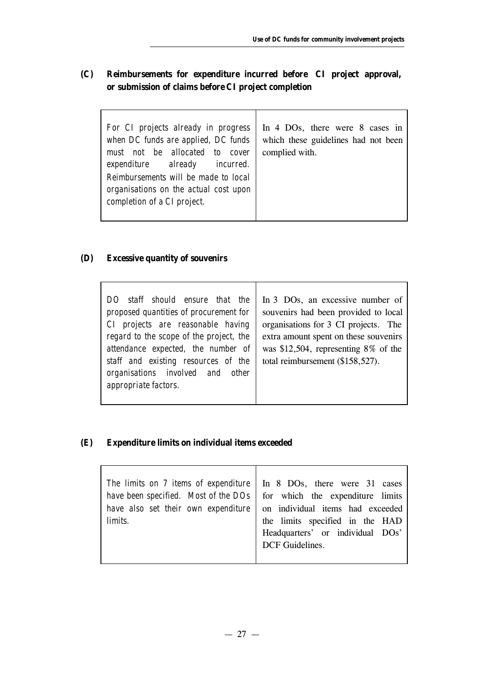$\overline{\phantom{0}}$ 

# **(C) Reimbursements for expenditure incurred before CI project approval, or submission of claims before CI project completion**

| For CI projects already in progress<br>when DC funds are applied, DC funds<br>must not be allocated to cover<br>expenditure already incurred.<br>Reimbursements will be made to local<br>organisations on the actual cost upon<br>completion of a CI project. | In 4 DOs, there were 8 cases in<br>which these guidelines had not been<br>complied with. |
|---------------------------------------------------------------------------------------------------------------------------------------------------------------------------------------------------------------------------------------------------------------|------------------------------------------------------------------------------------------|
|---------------------------------------------------------------------------------------------------------------------------------------------------------------------------------------------------------------------------------------------------------------|------------------------------------------------------------------------------------------|

# **(D) Excessive quantity of souvenirs**

# **(E) Expenditure limits on individual items exceeded**

| The limits on 7 items of expenditure   In 8 DOs, there were 31 cases  <br>have been specified. Most of the $DOS$ for which the expenditure limits<br>have also set their own expenditure on individual items had exceeded limits. |                                                     |
|-----------------------------------------------------------------------------------------------------------------------------------------------------------------------------------------------------------------------------------|-----------------------------------------------------|
|                                                                                                                                                                                                                                   | Headquarters' or individual DOs'<br>DCF Guidelines. |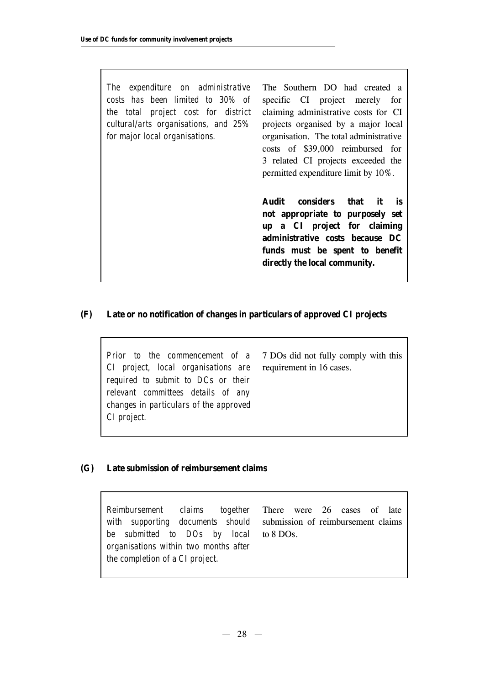| expenditure on administrative<br>The<br>costs has been limited to 30% of<br>the total project cost for district<br>cultural/arts organisations, and 25%<br>for major local organisations. | The Southern DO had created a<br>specific CI project merely for<br>claiming administrative costs for CI<br>projects organised by a major local<br>organisation. The total administrative<br>costs of \$39,000 reimbursed for<br>3 related CI projects exceeded the<br>permitted expenditure limit by 10%. |
|-------------------------------------------------------------------------------------------------------------------------------------------------------------------------------------------|-----------------------------------------------------------------------------------------------------------------------------------------------------------------------------------------------------------------------------------------------------------------------------------------------------------|
|                                                                                                                                                                                           | Audit considers that<br>it it<br>is<br>not appropriate to purposely set<br>up a CI project for claiming<br>administrative costs because DC<br>funds must be spent to benefit<br>directly the local community.                                                                                             |

 $\overline{\phantom{0}}$ 

# **(F) Late or no notification of changes in particulars of approved CI projects**

# **(G) Late submission of reimbursement claims**

| Reimbursement claims<br>together<br>with supporting documents should submission of reimbursement claims<br>be submitted to DOs by local<br>organisations within two months after<br>the completion of a CI project. | There were 26 cases of late<br>to 8 DOs. |
|---------------------------------------------------------------------------------------------------------------------------------------------------------------------------------------------------------------------|------------------------------------------|
|                                                                                                                                                                                                                     |                                          |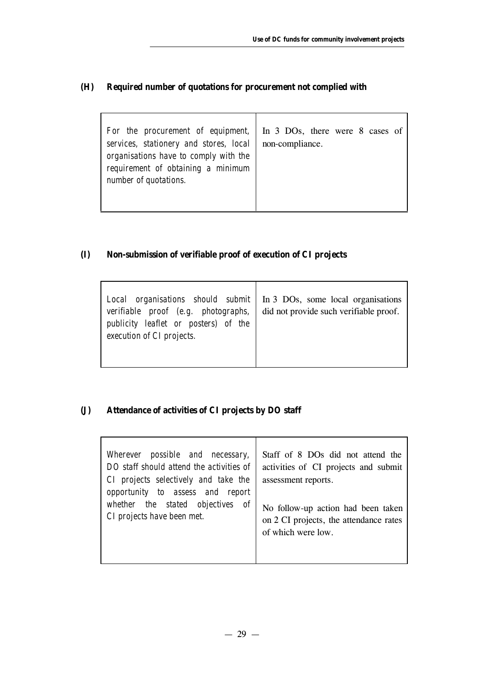# **(H) Required number of quotations for procurement not complied with**

| For the procurement of equipment,<br>services, stationery and stores, local<br>organisations have to comply with the<br>requirement of obtaining a minimum<br>number of quotations. | In 3 DOs, there were 8 cases of<br>non-compliance. |
|-------------------------------------------------------------------------------------------------------------------------------------------------------------------------------------|----------------------------------------------------|
|-------------------------------------------------------------------------------------------------------------------------------------------------------------------------------------|----------------------------------------------------|

# **(I) Non-submission of verifiable proof of execution of CI projects**

# **(J) Attendance of activities of CI projects by DO staff**

| Wherever possible and necessary,<br>DO staff should attend the activities of<br>CI projects selectively and take the<br>opportunity to assess and report | Staff of 8 DOs did not attend the<br>activities of CI projects and submit<br>assessment reports. |
|----------------------------------------------------------------------------------------------------------------------------------------------------------|--------------------------------------------------------------------------------------------------|
| whether the stated objectives                                                                                                                            | No follow-up action had been taken                                                               |
| of                                                                                                                                                       | on 2 CI projects, the attendance rates                                                           |
| CI projects have been met.                                                                                                                               | of which were low.                                                                               |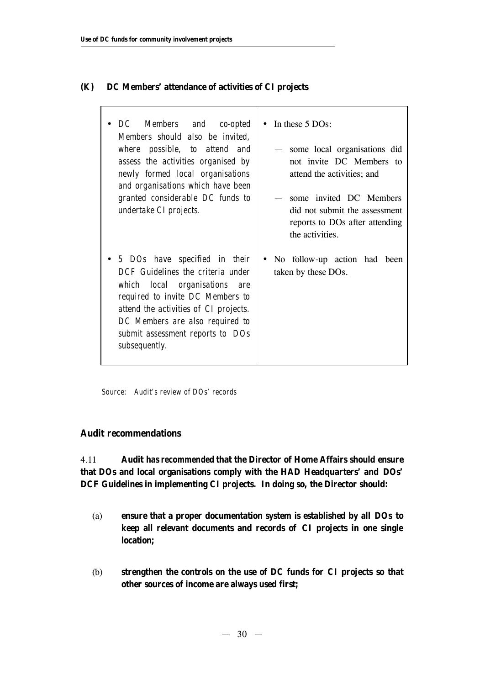# **(K) DC Members' attendance of activities of CI projects**

| DC Members and co-opted<br>Members should also be invited,<br>where possible, to attend and<br>assess the activities organised by<br>newly formed local organisations<br>and organisations which have been<br>granted considerable DC funds to<br>undertake CI projects. | In these 5 DOs:<br>$\bullet$<br>some local organisations did<br>not invite DC Members to<br>attend the activities; and<br>some invited DC Members<br>did not submit the assessment<br>reports to DOs after attending<br>the activities. |
|--------------------------------------------------------------------------------------------------------------------------------------------------------------------------------------------------------------------------------------------------------------------------|-----------------------------------------------------------------------------------------------------------------------------------------------------------------------------------------------------------------------------------------|
| 5 DOs have specified in their<br>DCF Guidelines the criteria under<br>which local organisations are<br>required to invite DC Members to<br>attend the activities of CI projects.<br>DC Members are also required to<br>submit assessment reports to DOs<br>subsequently. | No follow-up action had<br>been<br>taken by these DOs.                                                                                                                                                                                  |

Τ

٦

*Source: Audit's review of DOs' records*

# **Audit recommendations**

4.11 **Audit has** *recommended* **that the Director of Home Affairs should ensure that DOs and local organisations comply with the HAD Headquarters' and DOs' DCF Guidelines in implementing CI projects. In doing so, the Director should:**

- (a) **ensure that a proper documentation system is established by all DOs to keep all relevant documents and records of CI projects in one single location;**
- (b) **strengthen the controls on the use of DC funds for CI projects so that other sources of income are always used first;**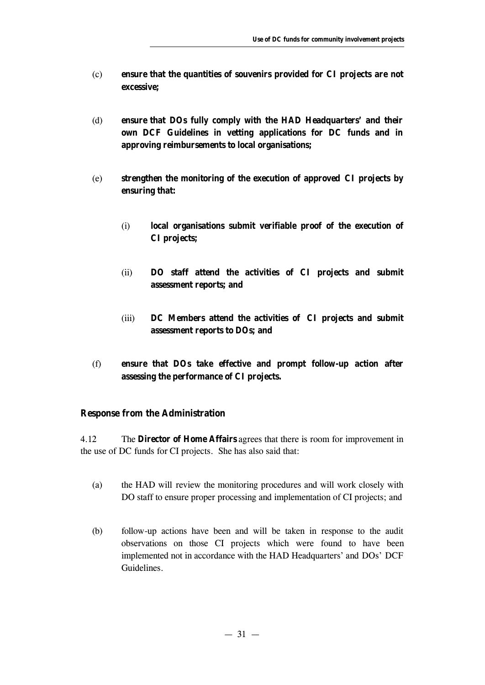- (c) **ensure that the quantities of souvenirs provided for CI projects are not excessive;**
- (d) **ensure that DOs fully comply with the HAD Headquarters' and their own DCF Guidelines in vetting applications for DC funds and in approving reimbursements to local organisations;**
- (e) **strengthen the monitoring of the execution of approved CI projects by ensuring that:**
	- (i) **local organisations submit verifiable proof of the execution of CI projects;**
	- (ii) **DO staff attend the activities of CI projects and submit assessment reports; and**
	- (iii) **DC Members attend the activities of CI projects and submit assessment reports to DOs; and**
- (f) **ensure that DOs take effective and prompt follow-up action after assessing the performance of CI projects.**

## **Response from the Administration**

4.12 The **Director of Home Affairs** agrees that there is room for improvement in the use of DC funds for CI projects. She has also said that:

- (a) the HAD will review the monitoring procedures and will work closely with DO staff to ensure proper processing and implementation of CI projects; and
- (b) follow-up actions have been and will be taken in response to the audit observations on those CI projects which were found to have been implemented not in accordance with the HAD Headquarters' and DOs' DCF Guidelines.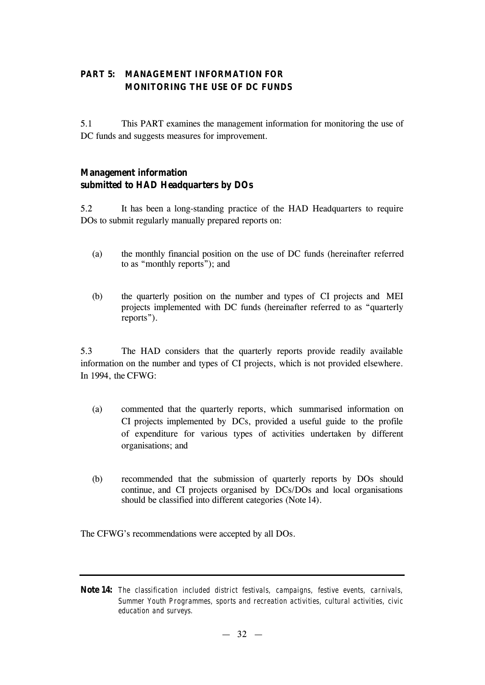# **PART 5: MANAGEMENT INFORMATION FOR MONITORING THE USE OF DC FUNDS**

5.1 This PART examines the management information for monitoring the use of DC funds and suggests measures for improvement.

# **Management information submitted to HAD Headquarters by DOs**

5.2 It has been a long-standing practice of the HAD Headquarters to require DOs to submit regularly manually prepared reports on:

- (a) the monthly financial position on the use of DC funds (hereinafter referred to as "monthly reports"); and
- (b) the quarterly position on the number and types of CI projects and MEI projects implemented with DC funds (hereinafter referred to as "quarterly reports").

5.3 The HAD considers that the quarterly reports provide readily available information on the number and types of CI projects, which is not provided elsewhere. In 1994, the CFWG:

- (a) commented that the quarterly reports, which summarised information on CI projects implemented by DCs, provided a useful guide to the profile of expenditure for various types of activities undertaken by different organisations; and
- (b) recommended that the submission of quarterly reports by DOs should continue, and CI projects organised by DCs/DOs and local organisations should be classified into different categories (Note 14).

The CFWG's recommendations were accepted by all DOs.

**Note 14:** *The classification included district festivals, campaigns, festive events, carnivals, Summer Youth Programmes, sports and recreation activities, cultural activities, civic education and surveys.*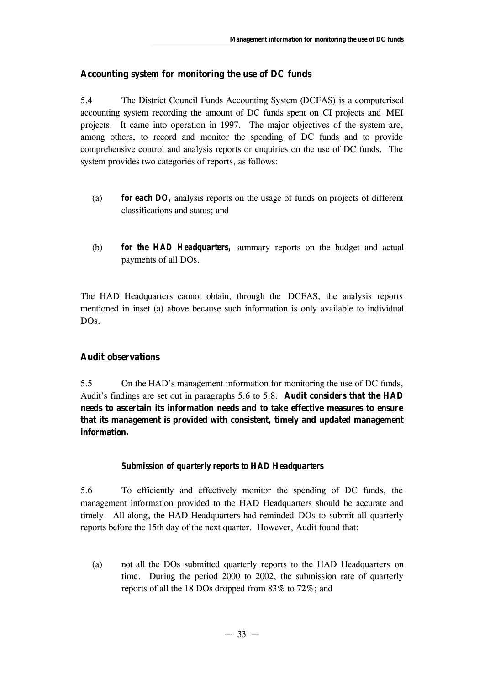# **Accounting system for monitoring the use of DC funds**

5.4 The District Council Funds Accounting System (DCFAS) is a computerised accounting system recording the amount of DC funds spent on CI projects and MEI projects. It came into operation in 1997. The major objectives of the system are, among others, to record and monitor the spending of DC funds and to provide comprehensive control and analysis reports or enquiries on the use of DC funds. The system provides two categories of reports, as follows:

- (a) *for each DO,* analysis reports on the usage of funds on projects of different classifications and status; and
- (b) *for the HAD Headquarters,* summary reports on the budget and actual payments of all DOs.

The HAD Headquarters cannot obtain, through the DCFAS, the analysis reports mentioned in inset (a) above because such information is only available to individual DOs.

# **Audit observations**

5.5 On the HAD's management information for monitoring the use of DC funds, Audit's findings are set out in paragraphs 5.6 to 5.8. **Audit considers that the HAD needs to ascertain its information needs and to take effective measures to ensure that its management is provided with consistent, timely and updated management information.**

# *Submission of quarterly reports to HAD Headquarters*

5.6 To efficiently and effectively monitor the spending of DC funds, the management information provided to the HAD Headquarters should be accurate and timely. All along, the HAD Headquarters had reminded DOs to submit all quarterly reports before the 15th day of the next quarter. However, Audit found that:

(a) not all the DOs submitted quarterly reports to the HAD Headquarters on time. During the period 2000 to 2002, the submission rate of quarterly reports of all the 18 DOs dropped from 83% to 72%; and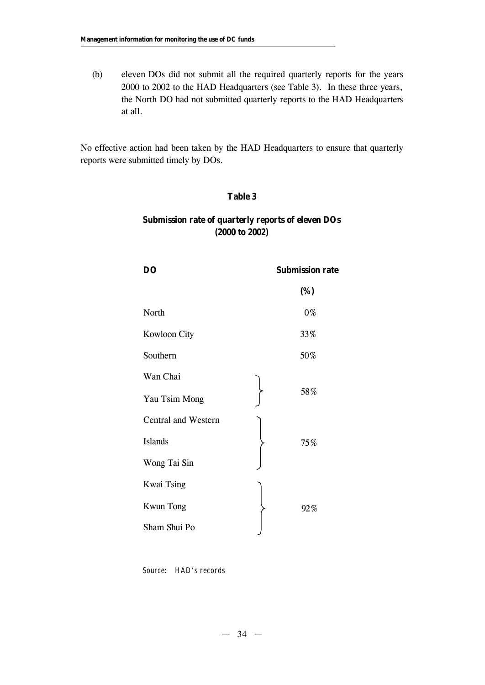(b) eleven DOs did not submit all the required quarterly reports for the years 2000 to 2002 to the HAD Headquarters (see Table 3). In these three years, the North DO had not submitted quarterly reports to the HAD Headquarters at all.

No effective action had been taken by the HAD Headquarters to ensure that quarterly reports were submitted timely by DOs.

# **Table 3**

# **Submission rate of quarterly reports of eleven DOs (2000 to 2002)**

| D <sub>O</sub>      | <b>Submission rate</b> |
|---------------------|------------------------|
|                     | (%)                    |
| North               | 0%                     |
| Kowloon City        | 33%                    |
| Southern            | 50%                    |
| Wan Chai            |                        |
| Yau Tsim Mong       | 58%                    |
| Central and Western |                        |
| <b>Islands</b>      | 75%                    |
| Wong Tai Sin        |                        |
| <b>Kwai Tsing</b>   |                        |
| <b>Kwun Tong</b>    | 92%                    |
| Sham Shui Po        |                        |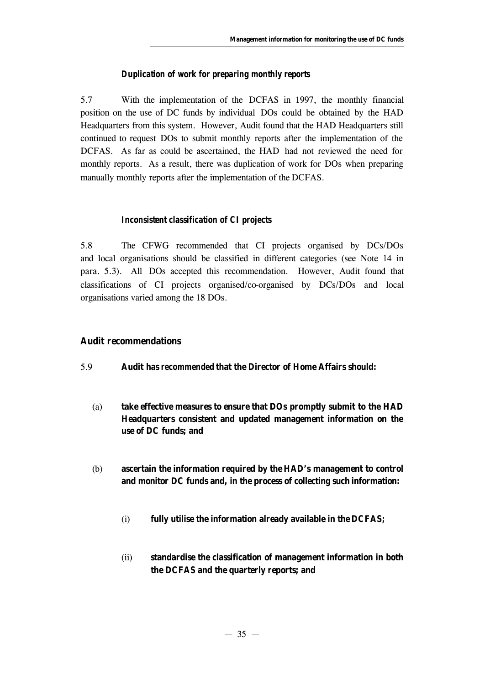## *Duplication of work for preparing monthly reports*

5.7 With the implementation of the DCFAS in 1997, the monthly financial position on the use of DC funds by individual DOs could be obtained by the HAD Headquarters from this system. However, Audit found that the HAD Headquarters still continued to request DOs to submit monthly reports after the implementation of the DCFAS. As far as could be ascertained, the HAD had not reviewed the need for monthly reports. As a result, there was duplication of work for DOs when preparing manually monthly reports after the implementation of the DCFAS.

#### *Inconsistent classification of CI projects*

5.8 The CFWG recommended that CI projects organised by DCs/DOs and local organisations should be classified in different categories (see Note 14 in para. 5.3). All DOs accepted this recommendation. However, Audit found that classifications of CI projects organised/co-organised by DCs/DOs and local organisations varied among the 18 DOs.

#### **Audit recommendations**

- 5.9 **Audit has** *recommended* **that the Director of Home Affairs should:**
	- (a) **take effective measures to ensure that DOs promptly submit to the HAD Headquarters consistent and updated management information on the use of DC funds; and**
	- (b) **ascertain the information required by the HAD's management to control and monitor DC funds and, in the process of collecting such information:**
		- (i) **fully utilise the information already available in the DCFAS;**
		- (ii) **standardise the classification of management information in both the DCFAS and the quarterly reports; and**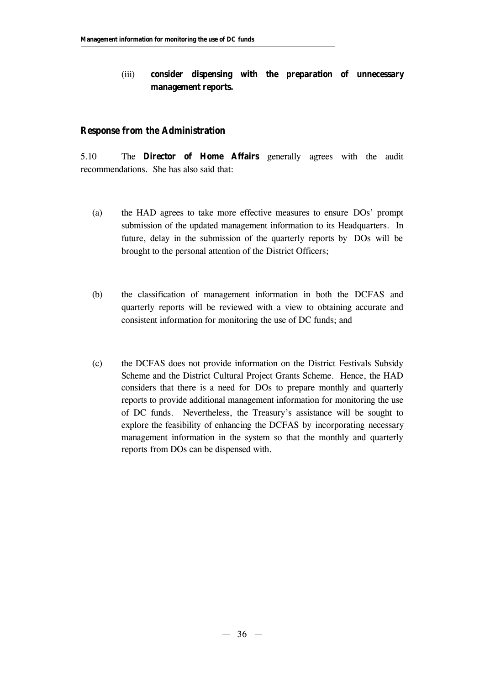# (iii) **consider dispensing with the preparation of unnecessary management reports.**

#### **Response from the Administration**

5.10 The **Director of Home Affairs** generally agrees with the audit recommendations. She has also said that:

- (a) the HAD agrees to take more effective measures to ensure DOs' prompt submission of the updated management information to its Headquarters. In future, delay in the submission of the quarterly reports by DOs will be brought to the personal attention of the District Officers;
- (b) the classification of management information in both the DCFAS and quarterly reports will be reviewed with a view to obtaining accurate and consistent information for monitoring the use of DC funds; and
- (c) the DCFAS does not provide information on the District Festivals Subsidy Scheme and the District Cultural Project Grants Scheme. Hence, the HAD considers that there is a need for DOs to prepare monthly and quarterly reports to provide additional management information for monitoring the use of DC funds. Nevertheless, the Treasury's assistance will be sought to explore the feasibility of enhancing the DCFAS by incorporating necessary management information in the system so that the monthly and quarterly reports from DOs can be dispensed with.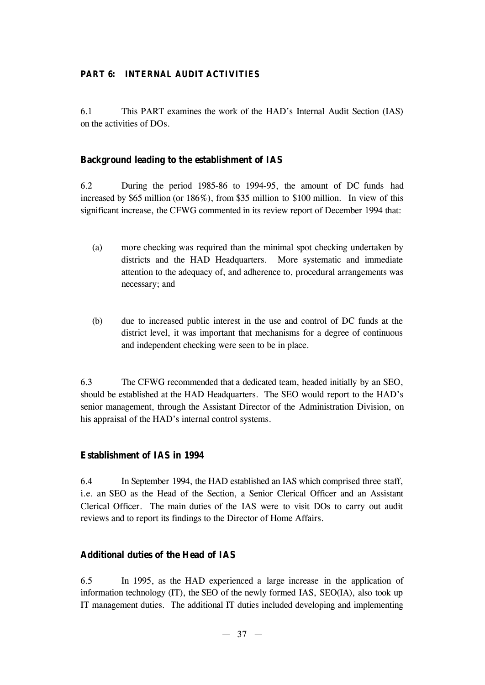# **PART 6: INTERNAL AUDIT ACTIVITIES**

6.1 This PART examines the work of the HAD's Internal Audit Section (IAS) on the activities of DOs.

# **Background leading to the establishment of IAS**

6.2 During the period 1985-86 to 1994-95, the amount of DC funds had increased by \$65 million (or 186%), from \$35 million to \$100 million. In view of this significant increase, the CFWG commented in its review report of December 1994 that:

- (a) more checking was required than the minimal spot checking undertaken by districts and the HAD Headquarters. More systematic and immediate attention to the adequacy of, and adherence to, procedural arrangements was necessary; and
- (b) due to increased public interest in the use and control of DC funds at the district level, it was important that mechanisms for a degree of continuous and independent checking were seen to be in place.

6.3 The CFWG recommended that a dedicated team, headed initially by an SEO, should be established at the HAD Headquarters. The SEO would report to the HAD's senior management, through the Assistant Director of the Administration Division, on his appraisal of the HAD's internal control systems.

# **Establishment of IAS in 1994**

6.4 In September 1994, the HAD established an IAS which comprised three staff, i.e. an SEO as the Head of the Section, a Senior Clerical Officer and an Assistant Clerical Officer. The main duties of the IAS were to visit DOs to carry out audit reviews and to report its findings to the Director of Home Affairs.

# **Additional duties of the Head of IAS**

6.5 In 1995, as the HAD experienced a large increase in the application of information technology (IT), the SEO of the newly formed IAS, SEO(IA), also took up IT management duties. The additional IT duties included developing and implementing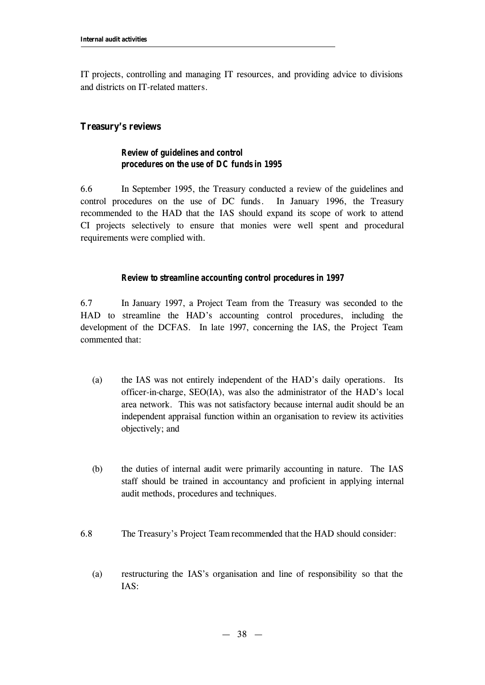IT projects, controlling and managing IT resources, and providing advice to divisions and districts on IT-related matters.

# **Treasury's reviews**

# *Review of guidelines and control procedures on the use of DC funds in 1995*

6.6 In September 1995, the Treasury conducted a review of the guidelines and control procedures on the use of DC funds. In January 1996, the Treasury recommended to the HAD that the IAS should expand its scope of work to attend CI projects selectively to ensure that monies were well spent and procedural requirements were complied with.

## *Review to streamline accounting control procedures in 1997*

6.7 In January 1997, a Project Team from the Treasury was seconded to the HAD to streamline the HAD's accounting control procedures, including the development of the DCFAS. In late 1997, concerning the IAS, the Project Team commented that:

- (a) the IAS was not entirely independent of the HAD's daily operations. Its officer-in-charge, SEO(IA), was also the administrator of the HAD's local area network. This was not satisfactory because internal audit should be an independent appraisal function within an organisation to review its activities objectively; and
- (b) the duties of internal audit were primarily accounting in nature. The IAS staff should be trained in accountancy and proficient in applying internal audit methods, procedures and techniques.
- 6.8 The Treasury's Project Team recommended that the HAD should consider:
	- (a) restructuring the IAS's organisation and line of responsibility so that the IAS: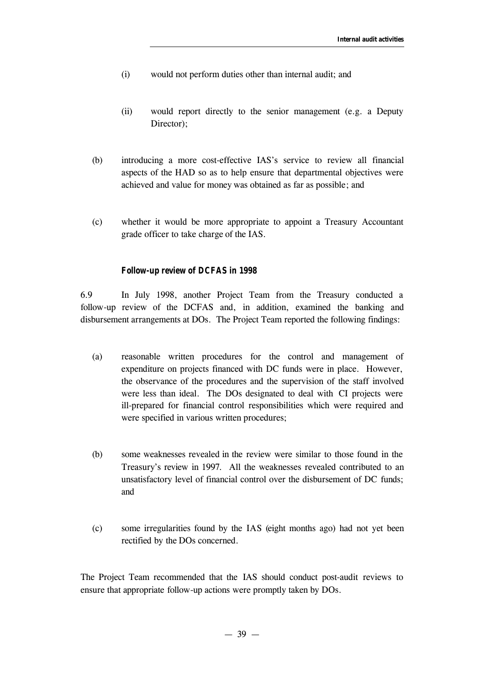- (i) would not perform duties other than internal audit; and
- (ii) would report directly to the senior management (e.g. a Deputy Director):
- (b) introducing a more cost-effective IAS's service to review all financial aspects of the HAD so as to help ensure that departmental objectives were achieved and value for money was obtained as far as possible; and
- (c) whether it would be more appropriate to appoint a Treasury Accountant grade officer to take charge of the IAS.

#### *Follow-up review of DCFAS in 1998*

6.9 In July 1998, another Project Team from the Treasury conducted a follow-up review of the DCFAS and, in addition, examined the banking and disbursement arrangements at DOs. The Project Team reported the following findings:

- (a) reasonable written procedures for the control and management of expenditure on projects financed with DC funds were in place. However, the observance of the procedures and the supervision of the staff involved were less than ideal. The DOs designated to deal with CI projects were ill-prepared for financial control responsibilities which were required and were specified in various written procedures;
- (b) some weaknesses revealed in the review were similar to those found in the Treasury's review in 1997. All the weaknesses revealed contributed to an unsatisfactory level of financial control over the disbursement of DC funds; and
- (c) some irregularities found by the IAS (eight months ago) had not yet been rectified by the DOs concerned.

The Project Team recommended that the IAS should conduct post-audit reviews to ensure that appropriate follow-up actions were promptly taken by DOs.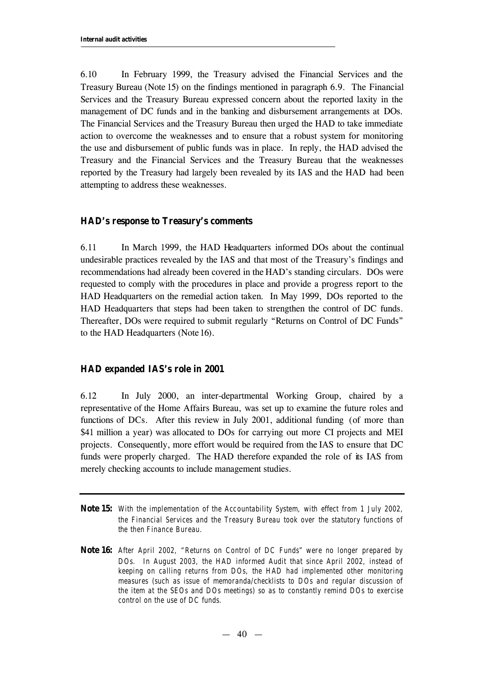6.10 In February 1999, the Treasury advised the Financial Services and the Treasury Bureau (Note 15) on the findings mentioned in paragraph 6.9. The Financial Services and the Treasury Bureau expressed concern about the reported laxity in the management of DC funds and in the banking and disbursement arrangements at DOs. The Financial Services and the Treasury Bureau then urged the HAD to take immediate action to overcome the weaknesses and to ensure that a robust system for monitoring the use and disbursement of public funds was in place. In reply, the HAD advised the Treasury and the Financial Services and the Treasury Bureau that the weaknesses reported by the Treasury had largely been revealed by its IAS and the HAD had been attempting to address these weaknesses.

# **HAD's response to Treasury's comments**

6.11 In March 1999, the HAD Headquarters informed DOs about the continual undesirable practices revealed by the IAS and that most of the Treasury's findings and recommendations had already been covered in the HAD's standing circulars. DOs were requested to comply with the procedures in place and provide a progress report to the HAD Headquarters on the remedial action taken. In May 1999, DOs reported to the HAD Headquarters that steps had been taken to strengthen the control of DC funds. Thereafter, DOs were required to submit regularly "Returns on Control of DC Funds" to the HAD Headquarters (Note 16).

## **HAD expanded IAS's role in 2001**

6.12 In July 2000, an inter-departmental Working Group, chaired by a representative of the Home Affairs Bureau, was set up to examine the future roles and functions of DCs. After this review in July 2001, additional funding (of more than \$41 million a year) was allocated to DOs for carrying out more CI projects and MEI projects. Consequently, more effort would be required from the IAS to ensure that DC funds were properly charged. The HAD therefore expanded the role of its IAS from merely checking accounts to include management studies.

- **Note 15:** *With the implementation of the Accountability System, with effect from 1 July 2002, the Financial Services and the Treasury Bureau took over the statutory functions of the then Finance Bureau.*
- **Note 16:** *After April 2002, "Returns on Control of DC Funds" were no longer prepared by DOs. In August 2003, the HAD informed Audit that since April 2002, instead of keeping on calling returns from DOs, the HAD had implemented other monitoring measures (such as issue of memoranda/checklists to DOs and regular discussion of the item at the SEOs and DOs meetings) so as to constantly remind DOs to exercise control on the use of DC funds.*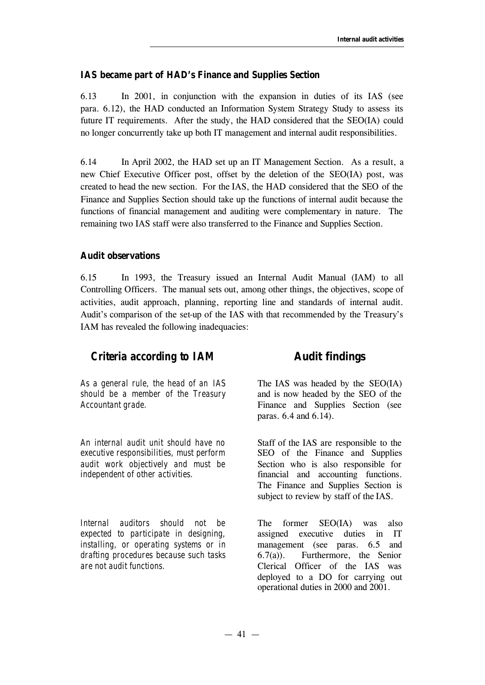# **IAS became part of HAD's Finance and Supplies Section**

6.13 In 2001, in conjunction with the expansion in duties of its IAS (see para. 6.12), the HAD conducted an Information System Strategy Study to assess its future IT requirements. After the study, the HAD considered that the SEO(IA) could no longer concurrently take up both IT management and internal audit responsibilities.

6.14 In April 2002, the HAD set up an IT Management Section. As a result, a new Chief Executive Officer post, offset by the deletion of the SEO(IA) post, was created to head the new section. For the IAS, the HAD considered that the SEO of the Finance and Supplies Section should take up the functions of internal audit because the functions of financial management and auditing were complementary in nature. The remaining two IAS staff were also transferred to the Finance and Supplies Section.

# **Audit observations**

6.15 In 1993, the Treasury issued an Internal Audit Manual (IAM) to all Controlling Officers. The manual sets out, among other things, the objectives, scope of activities, audit approach, planning, reporting line and standards of internal audit. Audit's comparison of the set-up of the IAS with that recommended by the Treasury's IAM has revealed the following inadequacies:

# *Criteria according to IAM* **Audit findings**

*As a general rule, the head of an IAS should be a member of the Treasury Accountant grade.*

*An internal audit unit should have no executive responsibilities, must perform audit work objectively and must be independent of other activities.*

*Internal auditors should not be expected to participate in designing, installing, or operating systems or in drafting procedures because such tasks are not audit functions.*

The IAS was headed by the SEO(IA) and is now headed by the SEO of the Finance and Supplies Section (see paras. 6.4 and 6.14).

Staff of the IAS are responsible to the SEO of the Finance and Supplies Section who is also responsible for financial and accounting functions. The Finance and Supplies Section is subject to review by staff of the IAS.

The former SEO(IA) was also assigned executive duties in IT management (see paras. 6.5 and 6.7(a)). Furthermore, the Senior Clerical Officer of the IAS was deployed to a DO for carrying out operational duties in 2000 and 2001.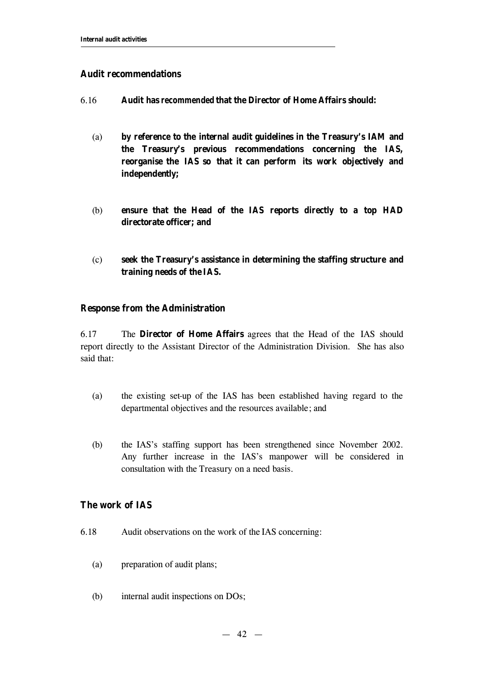# **Audit recommendations**

- 6.16 **Audit has** *recommended* **that the Director of Home Affairs should:**
	- (a) **by reference to the internal audit guidelines in the Treasury's IAM and the Treasury's previous recommendations concerning the IAS, reorganise the IAS so that it can perform its work objectively and independently;**
	- (b) **ensure that the Head of the IAS reports directly to a top HAD directorate officer; and**
	- (c) **seek the Treasury's assistance in determining the staffing structure and training needs of the IAS.**

# **Response from the Administration**

6.17 The **Director of Home Affairs** agrees that the Head of the IAS should report directly to the Assistant Director of the Administration Division. She has also said that:

- (a) the existing set-up of the IAS has been established having regard to the departmental objectives and the resources available; and
- (b) the IAS's staffing support has been strengthened since November 2002. Any further increase in the IAS's manpower will be considered in consultation with the Treasury on a need basis.

# **The work of IAS**

- 6.18 Audit observations on the work of the IAS concerning:
	- (a) preparation of audit plans;
	- (b) internal audit inspections on DOs;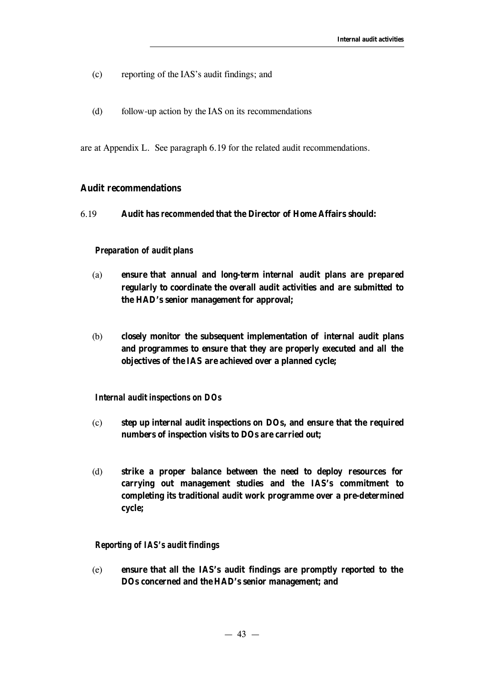- (c) reporting of the IAS's audit findings; and
- (d) follow-up action by the IAS on its recommendations

are at Appendix L. See paragraph 6.19 for the related audit recommendations.

# **Audit recommendations**

6.19 **Audit has** *recommended* **that the Director of Home Affairs should:**

#### *Preparation of audit plans*

- (a) **ensure that annual and long-term internal audit plans are prepared regularly to coordinate the overall audit activities and are submitted to the HAD's senior management for approval;**
- (b) **closely monitor the subsequent implementation of internal audit plans and programmes to ensure that they are properly executed and all the objectives of the IAS are achieved over a planned cycle;**

#### *Internal audit inspections on DOs*

- (c) **step up internal audit inspections on DOs, and ensure that the required numbers of inspection visits to DOs are carried out;**
- (d) **strike a proper balance between the need to deploy resources for carrying out management studies and the IAS's commitment to completing its traditional audit work programme over a pre-determined cycle;**

## *Reporting of IAS's audit findings*

(e) **ensure that all the IAS's audit findings are promptly reported to the DOs concerned and the HAD's senior management; and**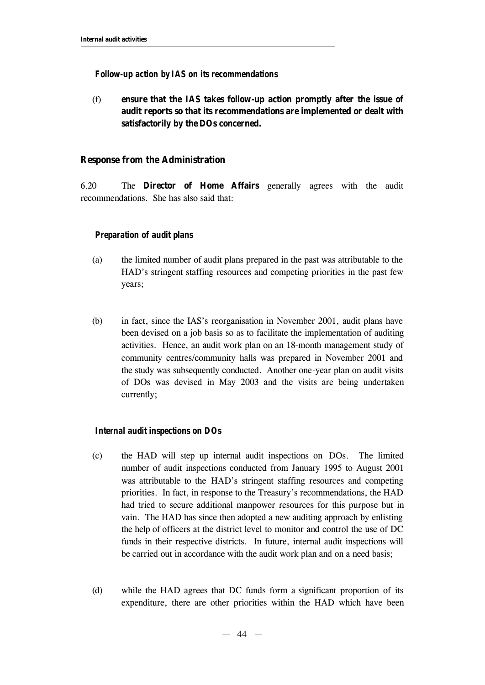#### *Follow-up action by IAS on its recommendations*

(f) **ensure that the IAS takes follow-up action promptly after the issue of audit reports so that its recommendations are implemented or dealt with satisfactorily by the DOs concerned.**

#### **Response from the Administration**

6.20 The **Director of Home Affairs** generally agrees with the audit recommendations. She has also said that:

#### *Preparation of audit plans*

- (a) the limited number of audit plans prepared in the past was attributable to the HAD's stringent staffing resources and competing priorities in the past few years;
- (b) in fact, since the IAS's reorganisation in November 2001, audit plans have been devised on a job basis so as to facilitate the implementation of auditing activities. Hence, an audit work plan on an 18-month management study of community centres/community halls was prepared in November 2001 and the study was subsequently conducted. Another one-year plan on audit visits of DOs was devised in May 2003 and the visits are being undertaken currently;

#### *Internal audit inspections on DOs*

- (c) the HAD will step up internal audit inspections on DOs. The limited number of audit inspections conducted from January 1995 to August 2001 was attributable to the HAD's stringent staffing resources and competing priorities. In fact, in response to the Treasury's recommendations, the HAD had tried to secure additional manpower resources for this purpose but in vain. The HAD has since then adopted a new auditing approach by enlisting the help of officers at the district level to monitor and control the use of DC funds in their respective districts. In future, internal audit inspections will be carried out in accordance with the audit work plan and on a need basis;
- (d) while the HAD agrees that DC funds form a significant proportion of its expenditure, there are other priorities within the HAD which have been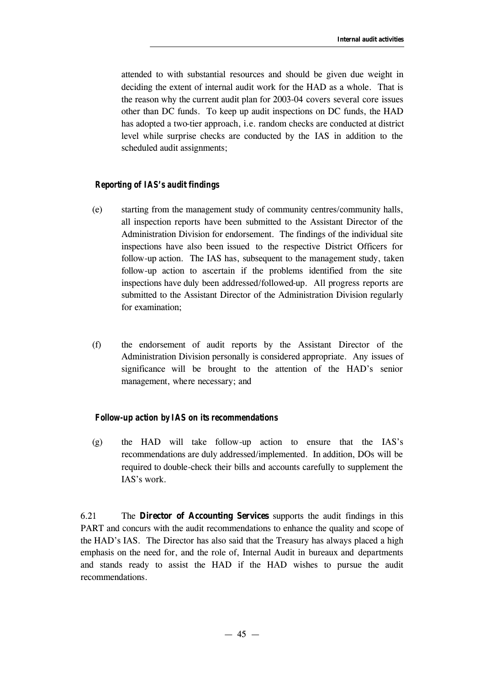attended to with substantial resources and should be given due weight in deciding the extent of internal audit work for the HAD as a whole. That is the reason why the current audit plan for 2003-04 covers several core issues other than DC funds. To keep up audit inspections on DC funds, the HAD has adopted a two-tier approach, i.e. random checks are conducted at district level while surprise checks are conducted by the IAS in addition to the scheduled audit assignments;

# *Reporting of IAS's audit findings*

- (e) starting from the management study of community centres/community halls, all inspection reports have been submitted to the Assistant Director of the Administration Division for endorsement. The findings of the individual site inspections have also been issued to the respective District Officers for follow-up action. The IAS has, subsequent to the management study, taken follow-up action to ascertain if the problems identified from the site inspections have duly been addressed/followed-up. All progress reports are submitted to the Assistant Director of the Administration Division regularly for examination;
- (f) the endorsement of audit reports by the Assistant Director of the Administration Division personally is considered appropriate. Any issues of significance will be brought to the attention of the HAD's senior management, where necessary; and

## *Follow-up action by IAS on its recommendations*

(g) the HAD will take follow-up action to ensure that the IAS's recommendations are duly addressed/implemented. In addition, DOs will be required to double-check their bills and accounts carefully to supplement the IAS's work.

6.21 The **Director of Accounting Services** supports the audit findings in this PART and concurs with the audit recommendations to enhance the quality and scope of the HAD's IAS. The Director has also said that the Treasury has always placed a high emphasis on the need for, and the role of, Internal Audit in bureaux and departments and stands ready to assist the HAD if the HAD wishes to pursue the audit recommendations.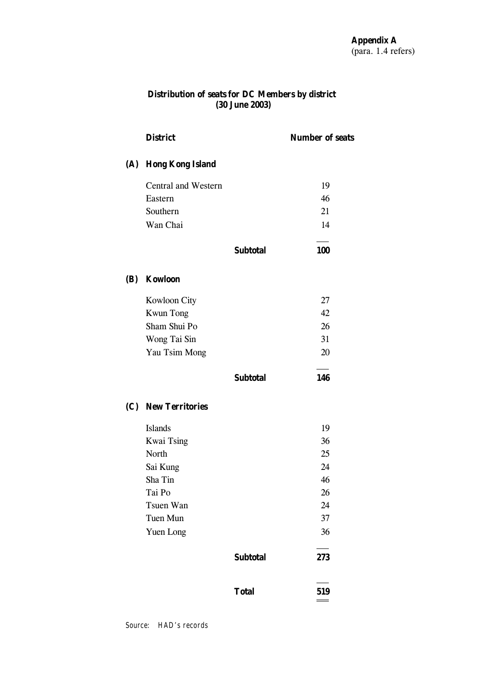## **Distribution of seats for DC Members by district (30 June 2003)**

|     | <b>District</b>         |                 | <b>Number of seats</b> |
|-----|-------------------------|-----------------|------------------------|
| (A) | <b>Hong Kong Island</b> |                 |                        |
|     | Central and Western     |                 | 19                     |
|     | Eastern                 |                 | 46                     |
|     | Southern                |                 | 21                     |
|     | Wan Chai                |                 | 14                     |
|     |                         | <b>Subtotal</b> | 100                    |
| (B) | <b>Kowloon</b>          |                 |                        |
|     | Kowloon City            |                 | 27                     |
|     | <b>Kwun Tong</b>        |                 | 42                     |
|     | Sham Shui Po            |                 | 26                     |
|     | Wong Tai Sin            |                 | 31                     |
|     | Yau Tsim Mong           |                 | 20                     |
|     |                         | <b>Subtotal</b> | 146                    |
|     | (C) New Territories     |                 |                        |
|     | <b>Islands</b>          |                 | 19                     |
|     | <b>Kwai Tsing</b>       |                 | 36                     |
|     | North                   |                 | 25                     |
|     | Sai Kung                |                 | 24                     |
|     | Sha Tin                 |                 | 46                     |
|     | Tai Po                  |                 | 26                     |
|     | Tsuen Wan               |                 | 24                     |
|     | Tuen Mun                |                 | 37                     |
|     | Yuen Long               |                 | 36                     |
|     |                         | <b>Subtotal</b> | 273                    |
|     |                         | <b>Total</b>    | 519                    |
|     |                         |                 |                        |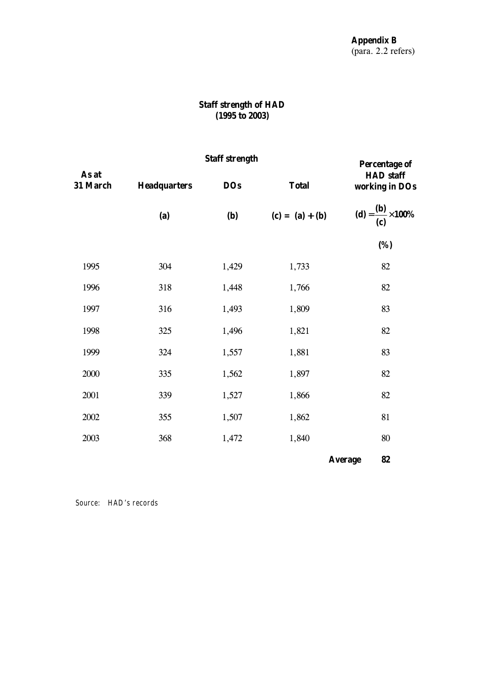# **Staff strength of HAD (1995 to 2003)**

|                   | <b>Staff strength</b> | <b>Percentage of</b> |                   |                                                  |  |
|-------------------|-----------------------|----------------------|-------------------|--------------------------------------------------|--|
| As at<br>31 March | <b>Headquarters</b>   | <b>DOs</b>           | <b>Total</b>      | <b>HAD</b> staff<br>working in DOs               |  |
|                   | (a)                   | <b>(b)</b>           | $(c) = (a) + (b)$ | (d) = $\frac{({\bf b})}{({\bf c})} \times 100\%$ |  |
|                   |                       |                      |                   | (%)                                              |  |
| 1995              | 304                   | 1,429                | 1,733             | 82                                               |  |
| 1996              | 318                   | 1,448                | 1,766             | 82                                               |  |
| 1997              | 316                   | 1,493                | 1,809             | 83                                               |  |
| 1998              | 325                   | 1,496                | 1,821             | 82                                               |  |
| 1999              | 324                   | 1,557                | 1,881             | 83                                               |  |
| 2000              | 335                   | 1,562                | 1,897             | 82                                               |  |
| 2001              | 339                   | 1,527                | 1,866             | 82                                               |  |
| 2002              | 355                   | 1,507                | 1,862             | 81                                               |  |
| 2003              | 368                   | 1,472                | 1,840             | 80                                               |  |
|                   |                       |                      |                   | 82<br><b>Average</b>                             |  |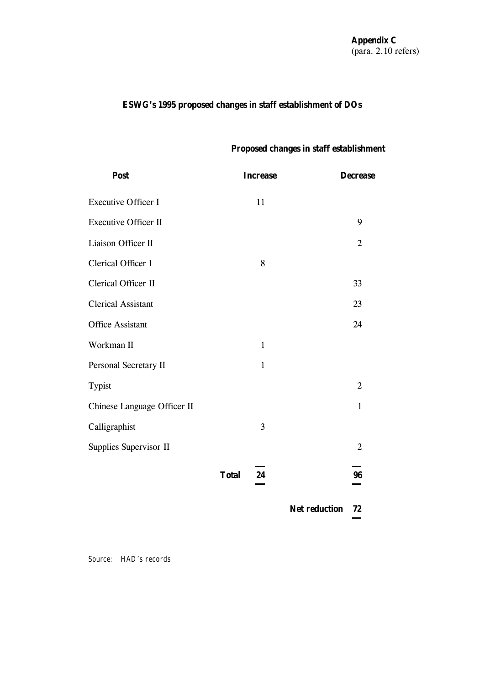# **ESWG's 1995 proposed changes in staff establishment of DOs**

# **Proposed changes in staff establishment**

| Post                        | <b>Increase</b>         | <b>Decrease</b> |
|-----------------------------|-------------------------|-----------------|
| <b>Executive Officer I</b>  | 11                      |                 |
| <b>Executive Officer II</b> |                         | 9               |
| Liaison Officer II          |                         | $\overline{2}$  |
| Clerical Officer I          | 8                       |                 |
| Clerical Officer II         |                         | 33              |
| <b>Clerical Assistant</b>   |                         | 23              |
| <b>Office Assistant</b>     |                         | 24              |
| Workman II                  | $\mathbf{1}$            |                 |
| Personal Secretary II       | $\mathbf{1}$            |                 |
| Typist                      |                         | $\overline{2}$  |
| Chinese Language Officer II |                         | $\mathbf{1}$    |
| Calligraphist               | 3                       |                 |
| Supplies Supervisor II      |                         | $\overline{2}$  |
|                             | <b>Total</b><br>24<br>= | 96              |

**Net reduction 72**  ÷,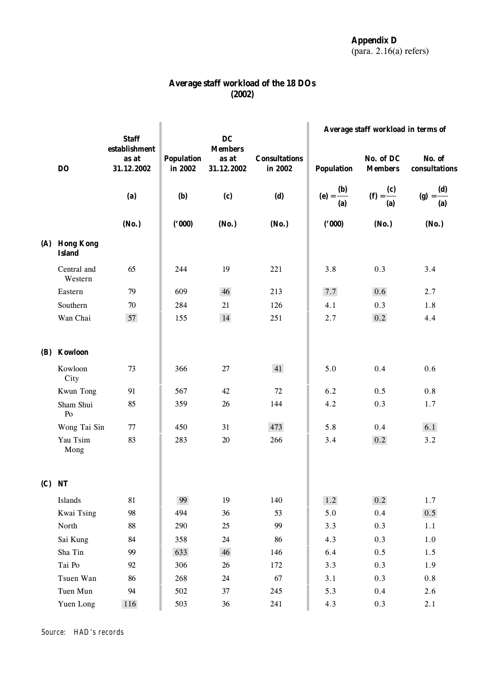| Average staff workload of the 18 DOs |        |  |  |
|--------------------------------------|--------|--|--|
|                                      | (2002) |  |  |

|     |                                | <b>Staff</b>                         |                              | DC                                    |                                 | Average staff workload in terms of |                             |                              |
|-----|--------------------------------|--------------------------------------|------------------------------|---------------------------------------|---------------------------------|------------------------------------|-----------------------------|------------------------------|
|     | DO                             | establishment<br>as at<br>31.12.2002 | <b>Population</b><br>in 2002 | <b>Members</b><br>as at<br>31.12.2002 | <b>Consultations</b><br>in 2002 | <b>Population</b>                  | No. of DC<br><b>Members</b> | No. of<br>consultations      |
|     |                                | (a)                                  | <b>(b)</b>                   | (c)                                   | (d)                             | (e) = $\frac{(b)}{(c)}$<br>(a)     | (f) = $\frac{c}{c}$<br>(a)  | (g) = $\frac{(d)}{d}$<br>(a) |
|     |                                | (No.)                                | (000)                        | (No.)                                 | (No.)                           | (000)                              | (No.)                       | (No.)                        |
|     | (A) Hong Kong<br><b>Island</b> |                                      |                              |                                       |                                 |                                    |                             |                              |
|     | Central and<br>Western         | 65                                   | 244                          | 19                                    | 221                             | 3.8                                | 0.3                         | 3.4                          |
|     | Eastern                        | 79                                   | 609                          | 46                                    | 213                             | 7.7                                | 0.6                         | 2.7                          |
|     | Southern                       | 70                                   | 284                          | 21                                    | 126                             | 4.1                                | 0.3                         | 1.8                          |
|     | Wan Chai                       | 57                                   | 155                          | 14                                    | 251                             | 2.7                                | 0.2                         | 4.4                          |
| (B) | Kowloon                        |                                      |                              |                                       |                                 |                                    |                             |                              |
|     | Kowloon<br>City                | 73                                   | 366                          | 27                                    | 41                              | 5.0                                | 0.4                         | 0.6                          |
|     | Kwun Tong                      | 91                                   | 567                          | 42                                    | 72                              | 6.2                                | 0.5                         | 0.8                          |
|     | Sham Shui<br>P <sub>O</sub>    | 85                                   | 359                          | 26                                    | 144                             | 4.2                                | 0.3                         | 1.7                          |
|     | Wong Tai Sin                   | 77                                   | 450                          | 31                                    | 473                             | 5.8                                | 0.4                         | 6.1                          |
|     | Yau Tsim<br>Mong               | 83                                   | 283                          | 20                                    | 266                             | 3.4                                | $0.2\,$                     | 3.2                          |
|     | $(C)$ NT                       |                                      |                              |                                       |                                 |                                    |                             |                              |
|     | Islands                        | 81                                   | 99                           | 19                                    | 140                             | $1.2$                              | 0.2                         | $1.7\,$                      |
|     | Kwai Tsing                     | 98                                   | 494                          | 36                                    | 53                              | 5.0                                | 0.4                         | 0.5                          |
|     | North                          | 88                                   | 290                          | 25                                    | 99                              | 3.3                                | 0.3                         | 1.1                          |
|     | Sai Kung                       | 84                                   | 358                          | 24                                    | 86                              | 4.3                                | 0.3                         | $1.0\,$                      |
|     | Sha Tin                        | 99                                   | 633                          | 46                                    | 146                             | 6.4                                | 0.5                         | 1.5                          |
|     | Tai Po                         | 92                                   | 306                          | 26                                    | 172                             | 3.3                                | 0.3                         | 1.9                          |
|     | Tsuen Wan                      | 86                                   | 268                          | 24                                    | 67                              | 3.1                                | 0.3                         | 0.8                          |
|     | Tuen Mun                       | 94                                   | 502                          | 37                                    | 245                             | 5.3                                | 0.4                         | 2.6                          |
|     | Yuen Long                      | 116                                  | 503                          | $36\,$                                | 241                             | 4.3                                | 0.3                         | $2.1\,$                      |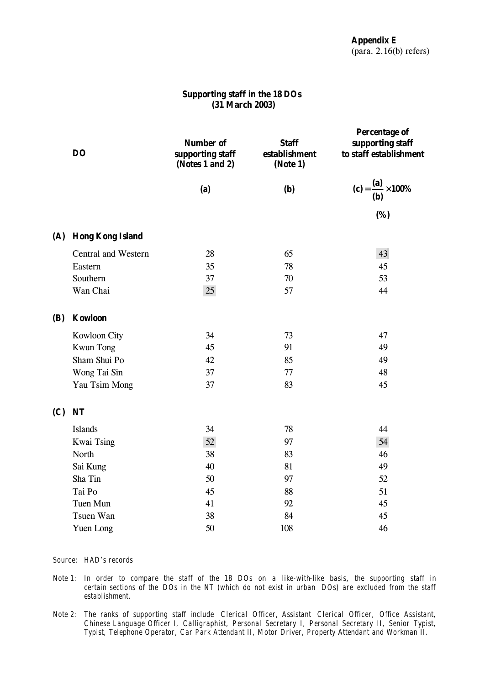# **Supporting staff in the 18 DOs (31 March 2003)**

|            | <b>DO</b>            | <b>Number of</b><br>supporting staff<br>(Notes 1 and 2) | <b>Staff</b><br>establishment<br>(Note 1) | <b>Percentage of</b><br>supporting staff<br>to staff establishment |  |
|------------|----------------------|---------------------------------------------------------|-------------------------------------------|--------------------------------------------------------------------|--|
|            |                      | (a)                                                     | (b)                                       | (c) = $\frac{(a)}{(b)} \times 100\%$                               |  |
|            |                      |                                                         |                                           | (%)                                                                |  |
|            | (A) Hong Kong Island |                                                         |                                           |                                                                    |  |
|            | Central and Western  | 28                                                      | 65                                        | 43                                                                 |  |
|            | Eastern              | 35                                                      | 78                                        | 45                                                                 |  |
|            | Southern             | 37                                                      | 70                                        | 53                                                                 |  |
|            | Wan Chai             | 25                                                      | 57                                        | 44                                                                 |  |
| <b>(B)</b> | <b>Kowloon</b>       |                                                         |                                           |                                                                    |  |
|            | Kowloon City         | 34                                                      | 73                                        | 47                                                                 |  |
|            | <b>Kwun Tong</b>     | 45                                                      | 91                                        | 49                                                                 |  |
|            | Sham Shui Po         | 42                                                      | 85                                        | 49                                                                 |  |
|            | Wong Tai Sin         | 37                                                      | 77                                        | 48                                                                 |  |
|            | Yau Tsim Mong        | 37                                                      | 83                                        | 45                                                                 |  |
| (C)        | <b>NT</b>            |                                                         |                                           |                                                                    |  |
|            | <b>Islands</b>       | 34                                                      | 78                                        | 44                                                                 |  |
|            | <b>Kwai Tsing</b>    | 52                                                      | 97                                        | 54                                                                 |  |
|            | North                | 38                                                      | 83                                        | 46                                                                 |  |
|            | Sai Kung             | 40                                                      | 81                                        | 49                                                                 |  |
|            | Sha Tin              | 50                                                      | 97                                        | 52                                                                 |  |
|            | Tai Po               | 45                                                      | 88                                        | 51                                                                 |  |
|            | Tuen Mun             | 41                                                      | 92                                        | 45                                                                 |  |
|            | Tsuen Wan            | 38                                                      | 84                                        | 45                                                                 |  |
|            | Yuen Long            | 50                                                      | 108                                       | 46                                                                 |  |

- *Note 1: In order to compare the staff of the 18 DOs on a like-with-like basis, the supporting staff in certain sections of the DOs in the NT (which do not exist in urban DOs) are excluded from the staff establishment.*
- *Note 2: The ranks of supporting staff include Clerical Officer, Assistant Clerical Officer, Office Assistant, Chinese Language Officer I, Calligraphist, Personal Secretary I, Personal Secretary II, Senior Typist, Typist, Telephone Operator, Car Park Attendant II, Motor Driver, Property Attendant and Workman II.*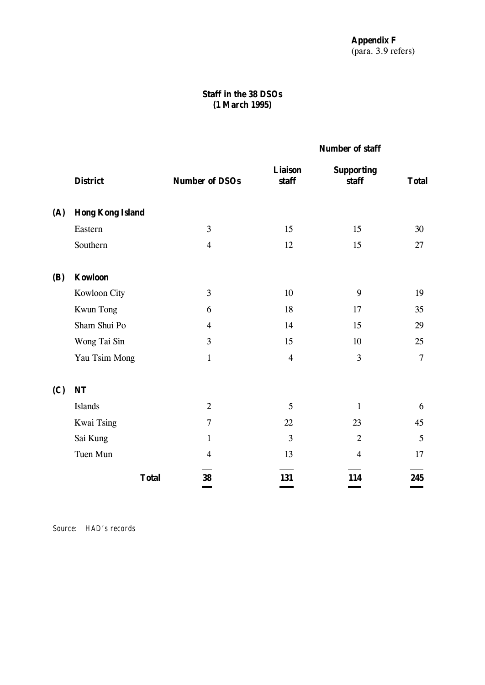# **Staff in the 38 DSOs (1 March 1995)**

# **Number of staff**

|            | <b>District</b>         | <b>Number of DSOs</b> | <b>Liaison</b><br>staff | <b>Supporting</b><br>staff | <b>Total</b>   |
|------------|-------------------------|-----------------------|-------------------------|----------------------------|----------------|
| (A)        | <b>Hong Kong Island</b> |                       |                         |                            |                |
|            | Eastern                 | 3                     | 15                      | 15                         | 30             |
|            | Southern                | $\overline{4}$        | 12                      | 15                         | 27             |
| <b>(B)</b> | <b>Kowloon</b>          |                       |                         |                            |                |
|            | Kowloon City            | 3                     | 10                      | 9                          | 19             |
|            | Kwun Tong               | 6                     | 18                      | 17                         | 35             |
|            | Sham Shui Po            | $\overline{4}$        | 14                      | 15                         | 29             |
|            | Wong Tai Sin            | 3                     | 15                      | 10                         | 25             |
|            | Yau Tsim Mong           | $\mathbf{1}$          | $\overline{4}$          | 3                          | $\overline{7}$ |
| (C)        | NT                      |                       |                         |                            |                |
|            | Islands                 | $\overline{2}$        | 5                       | $\mathbf{1}$               | 6              |
|            | Kwai Tsing              | $\overline{7}$        | 22                      | 23                         | 45             |
|            | Sai Kung                | $\mathbf{1}$          | 3                       | $\overline{2}$             | 5              |
|            | Tuen Mun                | $\overline{4}$        | 13                      | $\overline{4}$             | 17             |
|            | <b>Total</b>            | 38                    | 131                     | 114                        | 245<br>-       |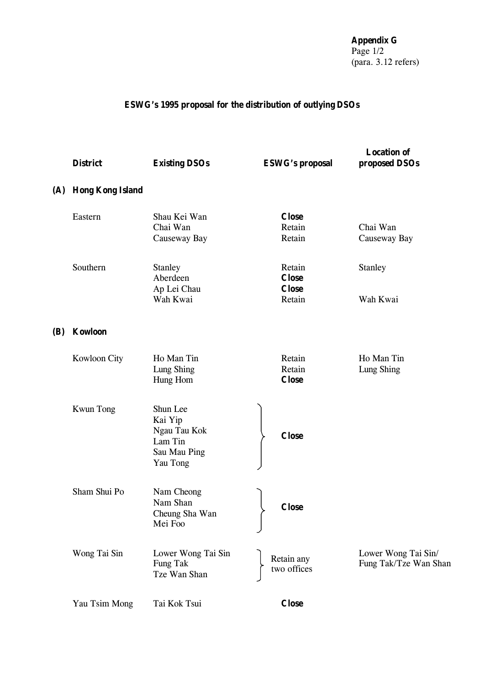**Appendix G** Page 1/2 (para. 3.12 refers)

# **ESWG's 1995 proposal for the distribution of outlying DSOs**

|     | <b>District</b>         | <b>Existing DSOs</b>                                                       | <b>ESWG's proposal</b>                 | <b>Location of</b><br>proposed DSOs          |
|-----|-------------------------|----------------------------------------------------------------------------|----------------------------------------|----------------------------------------------|
| (A) | <b>Hong Kong Island</b> |                                                                            |                                        |                                              |
|     | Eastern                 | Shau Kei Wan<br>Chai Wan<br>Causeway Bay                                   | <b>Close</b><br>Retain<br>Retain       | Chai Wan<br>Causeway Bay                     |
|     | Southern                | <b>Stanley</b><br>Aberdeen<br>Ap Lei Chau                                  | Retain<br><b>Close</b><br><b>Close</b> | Stanley                                      |
|     |                         | Wah Kwai                                                                   | Retain                                 | Wah Kwai                                     |
| (B) | <b>Kowloon</b>          |                                                                            |                                        |                                              |
|     | Kowloon City            | Ho Man Tin<br>Lung Shing<br>Hung Hom                                       | Retain<br>Retain<br><b>Close</b>       | Ho Man Tin<br>Lung Shing                     |
|     | <b>Kwun Tong</b>        | Shun Lee<br>Kai Yip<br>Ngau Tau Kok<br>Lam Tin<br>Sau Mau Ping<br>Yau Tong | <b>Close</b>                           |                                              |
|     | Sham Shui Po            | Nam Cheong<br>Nam Shan<br>Cheung Sha Wan<br>Mei Foo                        | <b>Close</b>                           |                                              |
|     | Wong Tai Sin            | Lower Wong Tai Sin<br>Fung Tak<br>Tze Wan Shan                             | Retain any<br>two offices              | Lower Wong Tai Sin/<br>Fung Tak/Tze Wan Shan |
|     | Yau Tsim Mong           | Tai Kok Tsui                                                               | <b>Close</b>                           |                                              |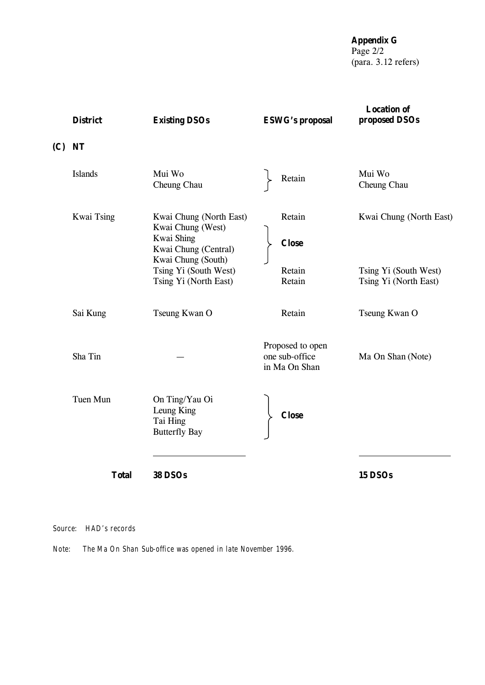**Appendix G** Page 2/2 (para. 3.12 refers)

| <b>District</b>   | <b>Existing DSOs</b>                                                                                                                                       | <b>ESWG's proposal</b>                              | <b>Location of</b><br>proposed DSOs                                       |
|-------------------|------------------------------------------------------------------------------------------------------------------------------------------------------------|-----------------------------------------------------|---------------------------------------------------------------------------|
| $(C)$ NT          |                                                                                                                                                            |                                                     |                                                                           |
| <b>Islands</b>    | Mui Wo<br>Cheung Chau                                                                                                                                      | Retain                                              | Mui Wo<br>Cheung Chau                                                     |
| <b>Kwai Tsing</b> | Kwai Chung (North East)<br>Kwai Chung (West)<br>Kwai Shing<br>Kwai Chung (Central)<br>Kwai Chung (South)<br>Tsing Yi (South West)<br>Tsing Yi (North East) | Retain<br><b>Close</b><br>Retain<br>Retain          | Kwai Chung (North East)<br>Tsing Yi (South West)<br>Tsing Yi (North East) |
| Sai Kung          | Tseung Kwan O                                                                                                                                              | Retain                                              | Tseung Kwan O                                                             |
| Sha Tin           |                                                                                                                                                            | Proposed to open<br>one sub-office<br>in Ma On Shan | Ma On Shan (Note)                                                         |
| Tuen Mun          | On Ting/Yau Oi<br>Leung King<br>Tai Hing<br><b>Butterfly Bay</b>                                                                                           | <b>Close</b>                                        |                                                                           |
| <b>Total</b>      | <b>38 DSOs</b>                                                                                                                                             |                                                     | 15 DSOs                                                                   |

*Source: HAD's records*

*Note: The Ma On Shan Sub-office was opened in late November 1996.*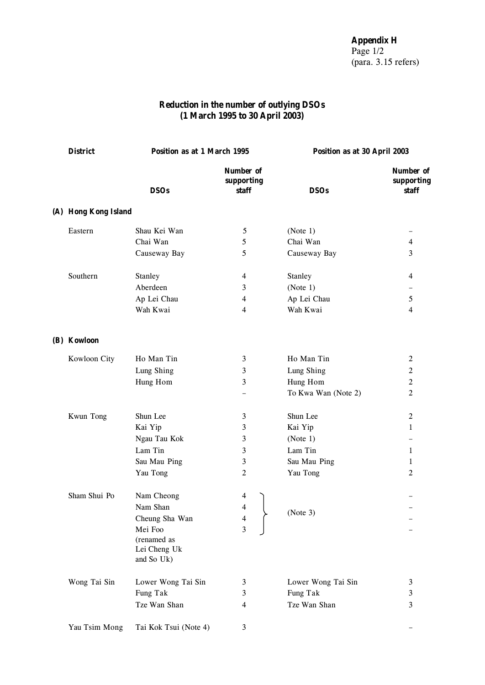# **Reduction in the number of outlying DSOs (1 March 1995 to 30 April 2003)**

| <b>District</b>      | Position as at 1 March 1995 |                                         | Position as at 30 April 2003 |                                  |
|----------------------|-----------------------------|-----------------------------------------|------------------------------|----------------------------------|
|                      | <b>DSOs</b>                 | <b>Number of</b><br>supporting<br>staff | <b>DSOs</b>                  | Number of<br>supporting<br>staff |
| (A) Hong Kong Island |                             |                                         |                              |                                  |
| Eastern              | Shau Kei Wan                | 5                                       | (Note 1)                     |                                  |
|                      | Chai Wan                    | 5                                       | Chai Wan                     | $\overline{4}$                   |
|                      | Causeway Bay                | 5                                       | Causeway Bay                 | 3                                |
| Southern             | Stanley                     | 4                                       | Stanley                      | 4                                |
|                      | Aberdeen                    | 3                                       | (Note 1)                     |                                  |
|                      | Ap Lei Chau                 | 4                                       | Ap Lei Chau                  | 5                                |
|                      | Wah Kwai                    | 4                                       | Wah Kwai                     | $\overline{4}$                   |
| (B) Kowloon          |                             |                                         |                              |                                  |
| Kowloon City         | Ho Man Tin                  | 3                                       | Ho Man Tin                   | $\overline{2}$                   |
|                      | Lung Shing                  | 3                                       | Lung Shing                   | $\boldsymbol{2}$                 |
|                      | Hung Hom                    | 3                                       | Hung Hom                     | $\overline{2}$                   |
|                      |                             |                                         | To Kwa Wan (Note 2)          | $\overline{2}$                   |
| Kwun Tong            | Shun Lee                    | 3                                       | Shun Lee                     | $\overline{2}$                   |
|                      | Kai Yip                     | 3                                       | Kai Yip                      | $\mathbf{1}$                     |
|                      | Ngau Tau Kok                | 3                                       | (Note 1)                     |                                  |
|                      | Lam Tin                     | 3                                       | Lam Tin                      | $\mathbf 1$                      |
|                      | Sau Mau Ping                | 3                                       | Sau Mau Ping                 | 1                                |
|                      | Yau Tong                    | $\boldsymbol{2}$                        | Yau Tong                     | $\overline{2}$                   |
| Sham Shui Po         | Nam Cheong                  | 4                                       |                              |                                  |
|                      | Nam Shan                    | 4                                       | (Note 3)                     |                                  |
|                      | Cheung Sha Wan              | $\overline{\mathbf{4}}$                 |                              |                                  |
|                      | Mei Foo                     | 3                                       |                              |                                  |
|                      | (renamed as<br>Lei Cheng Uk |                                         |                              |                                  |
|                      | and So Uk)                  |                                         |                              |                                  |
| Wong Tai Sin         | Lower Wong Tai Sin          | 3                                       | Lower Wong Tai Sin           | 3                                |
|                      | Fung Tak                    | 3                                       | Fung Tak                     | 3                                |
|                      | Tze Wan Shan                | 4                                       | Tze Wan Shan                 | 3                                |
| Yau Tsim Mong        | Tai Kok Tsui (Note 4)       | 3                                       |                              |                                  |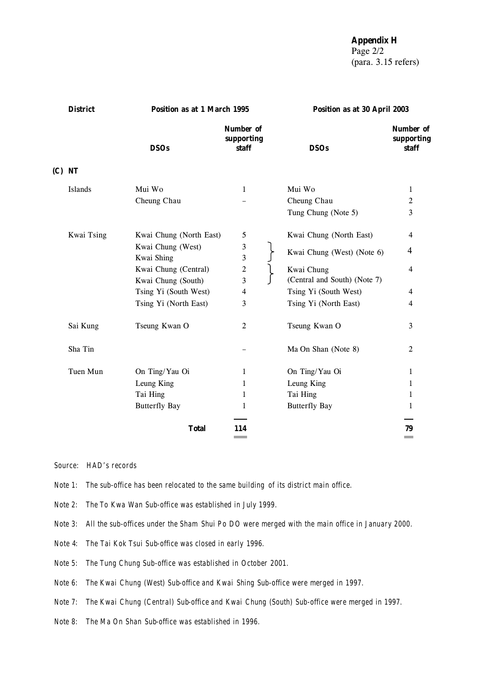**Appendix H**

Page 2/2 (para. 3.15 refers)

| <b>District</b> |            | Position as at 1 March 1995     |                                         | Position as at 30 April 2003 |                                  |
|-----------------|------------|---------------------------------|-----------------------------------------|------------------------------|----------------------------------|
|                 |            | <b>DSOs</b>                     | <b>Number of</b><br>supporting<br>staff | <b>DSOs</b>                  | Number of<br>supporting<br>staff |
|                 | $(C)$ NT   |                                 |                                         |                              |                                  |
|                 | Islands    | Mui Wo                          | 1                                       | Mui Wo                       | 1                                |
|                 |            | Cheung Chau                     |                                         | Cheung Chau                  | $\overline{2}$                   |
|                 |            |                                 |                                         | Tung Chung (Note 5)          | 3                                |
|                 | Kwai Tsing | Kwai Chung (North East)         | 5                                       | Kwai Chung (North East)      | $\overline{4}$                   |
|                 |            | Kwai Chung (West)<br>Kwai Shing | 3<br>3                                  | Kwai Chung (West) (Note 6)   | 4                                |
|                 |            | Kwai Chung (Central)            | $\overline{\mathbf{c}}$                 | Kwai Chung                   | 4                                |
|                 |            | Kwai Chung (South)              | 3                                       | (Central and South) (Note 7) |                                  |
|                 |            | Tsing Yi (South West)           | 4                                       | Tsing Yi (South West)        | 4                                |
|                 |            | Tsing Yi (North East)           | 3                                       | Tsing Yi (North East)        | 4                                |
|                 | Sai Kung   | Tseung Kwan O                   | 2                                       | Tseung Kwan O                | 3                                |
|                 | Sha Tin    |                                 |                                         | Ma On Shan (Note 8)          | 2                                |
|                 | Tuen Mun   | On Ting/Yau Oi                  | 1                                       | On Ting/Yau Oi               | $\mathbf 1$                      |
|                 |            | Leung King                      | $\mathbf{1}$                            | Leung King                   | 1                                |
|                 |            | Tai Hing                        | 1                                       | Tai Hing                     | 1                                |
|                 |            | <b>Butterfly Bay</b>            | 1                                       | <b>Butterfly Bay</b>         | 1                                |
|                 |            | <b>Total</b>                    | 114                                     |                              | 79                               |
|                 |            |                                 |                                         |                              |                                  |

- *Note 1: The sub-office has been relocated to the same building of its district main office.*
- *Note 2: The To Kwa Wan Sub-office was established in July 1999.*
- *Note 3: All the sub-offices under the Sham Shui Po DO were merged with the main office in January 2000.*
- *Note 4: The Tai Kok Tsui Sub-office was closed in early 1996.*
- *Note 5: The Tung Chung Sub-office was established in October 2001.*
- *Note 6: The Kwai Chung (West) Sub-office and Kwai Shing Sub-office were merged in 1997.*
- *Note 7: The Kwai Chung (Central) Sub-office and Kwai Chung (South) Sub-office were merged in 1997.*
- *Note 8: The Ma On Shan Sub-office was established in 1996.*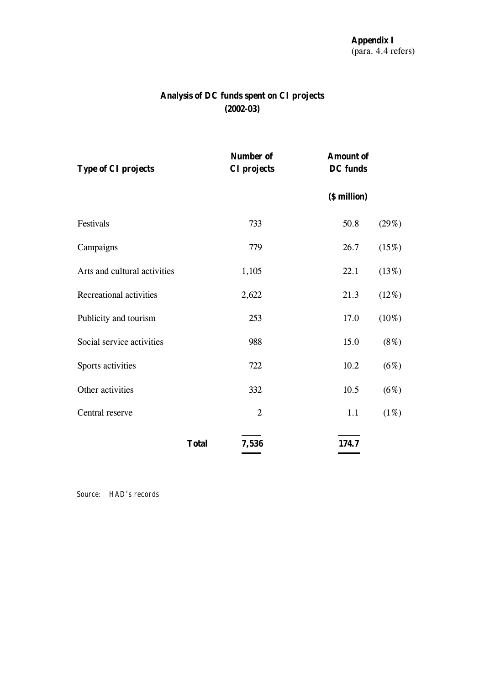# **Analysis of DC funds spent on CI projects (2002-03)**

| <b>Type of CI projects</b>   |              | <b>Number of</b><br><b>CI</b> projects | <b>Amount of</b><br><b>DC</b> funds |          |
|------------------------------|--------------|----------------------------------------|-------------------------------------|----------|
|                              |              |                                        | (\$ million)                        |          |
| Festivals                    |              | 733                                    | 50.8                                | (29%)    |
| Campaigns                    |              | 779                                    | 26.7                                | (15%)    |
| Arts and cultural activities |              | 1,105                                  | 22.1                                | (13%)    |
| Recreational activities      |              | 2,622                                  | 21.3                                | (12%)    |
| Publicity and tourism        |              | 253                                    | 17.0                                | $(10\%)$ |
| Social service activities    |              | 988                                    | 15.0                                | $(8\%)$  |
| Sports activities            |              | 722                                    | 10.2                                | (6%)     |
| Other activities             |              | 332                                    | 10.5                                | (6%)     |
| Central reserve              |              | $\overline{2}$                         | 1.1                                 | (1%)     |
|                              | <b>Total</b> | 7,536                                  | 174.7                               |          |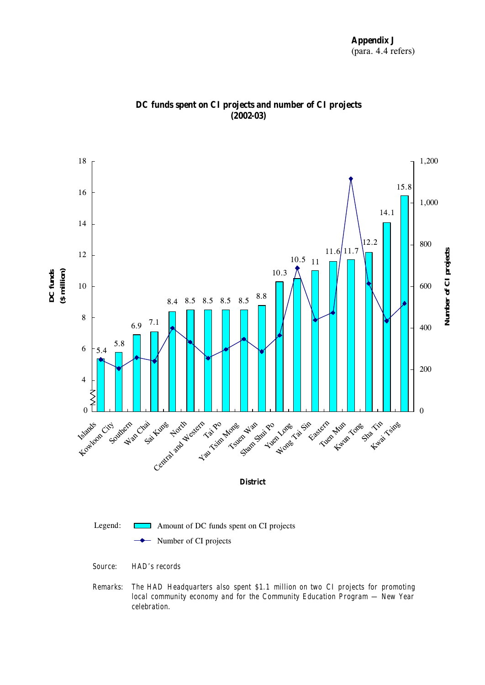

 **DC funds spent on CI projects and number of CI projects (2002-03)**

*Remarks: The HAD Headquarters also spent \$1.1 million on two CI projects for promoting local community economy and for the Community Education Program — New Year celebration.*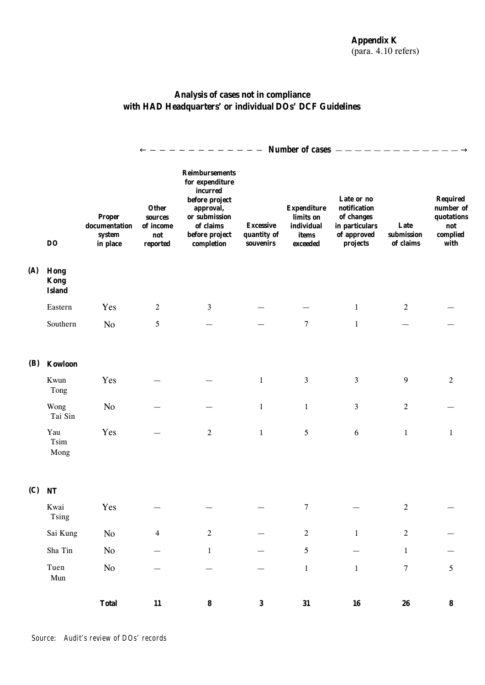# **Analysis of cases not in compliance with HAD Headquarters' or individual DOs' DCF Guidelines**

|            |                                      |                                                      | Number of cases –                                       |                                                                                                                                                   |                                              |                                                                    |                                                                                       |                                 |                                                                       |
|------------|--------------------------------------|------------------------------------------------------|---------------------------------------------------------|---------------------------------------------------------------------------------------------------------------------------------------------------|----------------------------------------------|--------------------------------------------------------------------|---------------------------------------------------------------------------------------|---------------------------------|-----------------------------------------------------------------------|
|            | <b>DO</b>                            | <b>Proper</b><br>documentation<br>system<br>in place | <b>Other</b><br>sources<br>of income<br>not<br>reported | <b>Reimbursements</b><br>for expenditure<br>incurred<br>before project<br>approval,<br>or submission<br>of claims<br>before project<br>completion | <b>Excessive</b><br>quantity of<br>souvenirs | <b>Expenditure</b><br>limits on<br>individual<br>items<br>exceeded | Late or no<br>notification<br>of changes<br>in particulars<br>of approved<br>projects | Late<br>submission<br>of claims | <b>Required</b><br>number of<br>quotations<br>not<br>complied<br>with |
| (A)        | Hong<br><b>Kong</b><br><b>Island</b> |                                                      |                                                         |                                                                                                                                                   |                                              |                                                                    |                                                                                       |                                 |                                                                       |
|            | Eastern                              | Yes                                                  | $\boldsymbol{2}$                                        | 3                                                                                                                                                 |                                              |                                                                    | $\mathbf{1}$                                                                          | 2                               |                                                                       |
|            | Southern                             | No                                                   | 5                                                       |                                                                                                                                                   |                                              | $\overline{7}$                                                     | $\mathbf{1}$                                                                          |                                 |                                                                       |
| <b>(B)</b> | Kowloon                              |                                                      |                                                         |                                                                                                                                                   |                                              |                                                                    |                                                                                       |                                 |                                                                       |
|            | Kwun<br>Tong                         | Yes                                                  |                                                         |                                                                                                                                                   | $\mathbf{1}$                                 | $\mathfrak{Z}$                                                     | $\overline{3}$                                                                        | 9                               | 2                                                                     |
|            | Wong<br>Tai Sin                      | N <sub>0</sub>                                       |                                                         |                                                                                                                                                   | $\mathbf{1}$                                 | $1\,$                                                              | 3                                                                                     | $\boldsymbol{2}$                |                                                                       |
|            | Yau<br>Tsim<br>Mong                  | Yes                                                  |                                                         | $\overline{2}$                                                                                                                                    | $\mathbf{1}$                                 | 5                                                                  | 6                                                                                     | $\mathbf{1}$                    | $\mathbf{1}$                                                          |
| (C)        | <b>NT</b>                            |                                                      |                                                         |                                                                                                                                                   |                                              |                                                                    |                                                                                       |                                 |                                                                       |
|            | Kwai<br>Tsing                        | Yes                                                  |                                                         |                                                                                                                                                   |                                              | $\overline{7}$                                                     |                                                                                       | 2                               |                                                                       |
|            | Sai Kung                             | $\rm No$                                             | $\overline{4}$                                          | $\sqrt{2}$                                                                                                                                        |                                              | $\sqrt{2}$                                                         | $1\,$                                                                                 | $\sqrt{2}$                      |                                                                       |
|            | Sha Tin                              | $\rm No$                                             |                                                         | $\mathbf{1}$                                                                                                                                      |                                              | $\mathfrak{S}$                                                     |                                                                                       | $\mathbf{1}$                    |                                                                       |
|            | Tuen<br>Mun                          | $\rm No$                                             |                                                         |                                                                                                                                                   |                                              | $\,1\,$                                                            | $1\,$                                                                                 | $\boldsymbol{7}$                | 5                                                                     |
|            |                                      | <b>Total</b>                                         | ${\bf 11}$                                              | $\pmb{8}$                                                                                                                                         | $\bf{3}$                                     | 31                                                                 | ${\bf 16}$                                                                            | 26                              | $\pmb{8}$                                                             |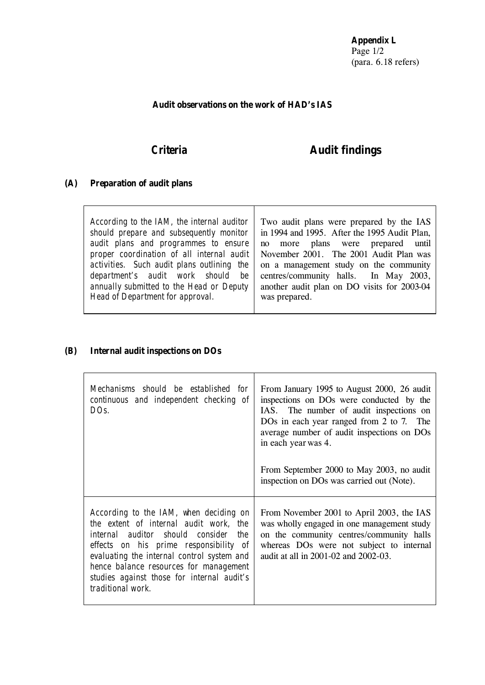**Appendix L** Page 1/2 (para. 6.18 refers)

# **Audit observations on the work of HAD's IAS**

# *Criteria* **Audit findings**

# **(A) Preparation of audit plans**

# **(B) Internal audit inspections on DOs**

| Mechanisms should be established for<br>continuous and independent checking of<br>DO <sub>S</sub> .                                                                                                                                                                                                                              | From January 1995 to August 2000, 26 audit<br>inspections on DOs were conducted by the<br>IAS. The number of audit inspections on<br>DOs in each year ranged from 2 to 7. The<br>average number of audit inspections on DOs<br>in each year was 4.<br>From September 2000 to May 2003, no audit<br>inspection on DOs was carried out (Note). |
|----------------------------------------------------------------------------------------------------------------------------------------------------------------------------------------------------------------------------------------------------------------------------------------------------------------------------------|----------------------------------------------------------------------------------------------------------------------------------------------------------------------------------------------------------------------------------------------------------------------------------------------------------------------------------------------|
| According to the IAM, when deciding on<br>the extent of internal audit work, the<br>internal auditor should consider<br>the<br>effects on his prime responsibility of<br>evaluating the internal control system and<br>hence balance resources for management<br>studies against those for internal audit's<br>traditional work. | From November 2001 to April 2003, the IAS<br>was wholly engaged in one management study<br>on the community centres/community halls<br>whereas DOs were not subject to internal<br>audit at all in 2001-02 and 2002-03.                                                                                                                      |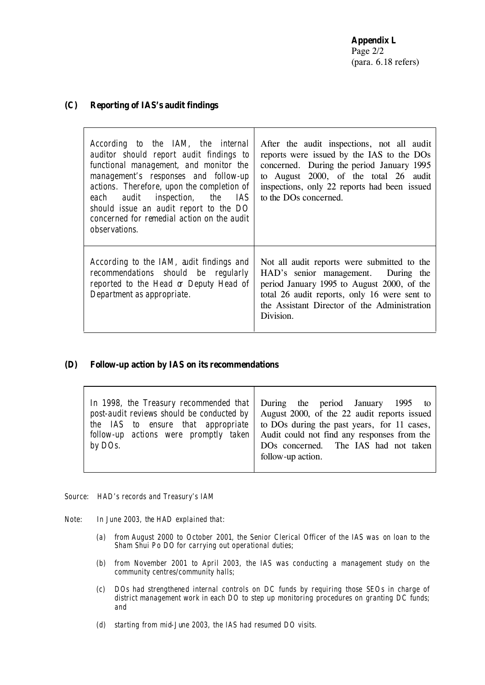# **(C) Reporting of IAS's audit findings**

| According to the IAM, the internal<br>auditor should report audit findings to<br>functional management, and monitor the<br>management's responses and follow-up<br>actions. Therefore, upon the completion of<br>each audit inspection, the<br>IAS<br>should issue an audit report to the DO<br>concerned for remedial action on the audit<br><i>observations.</i> | After the audit inspections, not all audit<br>reports were issued by the IAS to the DOs<br>concerned. During the period January 1995<br>to August 2000, of the total 26 audit<br>inspections, only 22 reports had been issued<br>to the DO <sub>s</sub> concerned. |
|--------------------------------------------------------------------------------------------------------------------------------------------------------------------------------------------------------------------------------------------------------------------------------------------------------------------------------------------------------------------|--------------------------------------------------------------------------------------------------------------------------------------------------------------------------------------------------------------------------------------------------------------------|
| According to the IAM, aidit findings and<br>recommendations should be regularly<br>reported to the Head or Deputy Head of<br>Department as appropriate.                                                                                                                                                                                                            | Not all audit reports were submitted to the<br>HAD's senior management. During the<br>period January 1995 to August 2000, of the<br>total 26 audit reports, only 16 were sent to<br>the Assistant Director of the Administration<br>Division.                      |

## **(D) Follow-up action by IAS on its recommendations**

|         | In 1998, the Treasury recommended that During the period January 1995 to                      |
|---------|-----------------------------------------------------------------------------------------------|
|         | post-audit reviews should be conducted by $\vert$ August 2000, of the 22 audit reports issued |
|         | the IAS to ensure that appropriate to DOs during the past years, for 11 cases,                |
|         | follow-up actions were promptly taken Audit could not find any responses from the             |
| by DOs. | DOs concerned. The IAS had not taken                                                          |
|         | follow-up action.                                                                             |
|         |                                                                                               |

- *Source: HAD's records and Treasury's IAM*
- *Note: In June 2003, the HAD explained that:*
	- *(a) from August 2000 to October 2001, the Senior Clerical Officer of the IAS was on loan to the Sham Shui Po DO for carrying out operational duties;*
	- *(b) from November 2001 to April 2003, the IAS was conducting a management study on the community centres/community halls;*
	- *(c) DOs had strengthened internal controls on DC funds by requiring those SEOs in charge of district management work in each DO to step up monitoring procedures on granting DC funds; and*
	- *(d) starting from mid-June 2003, the IAS had resumed DO visits.*